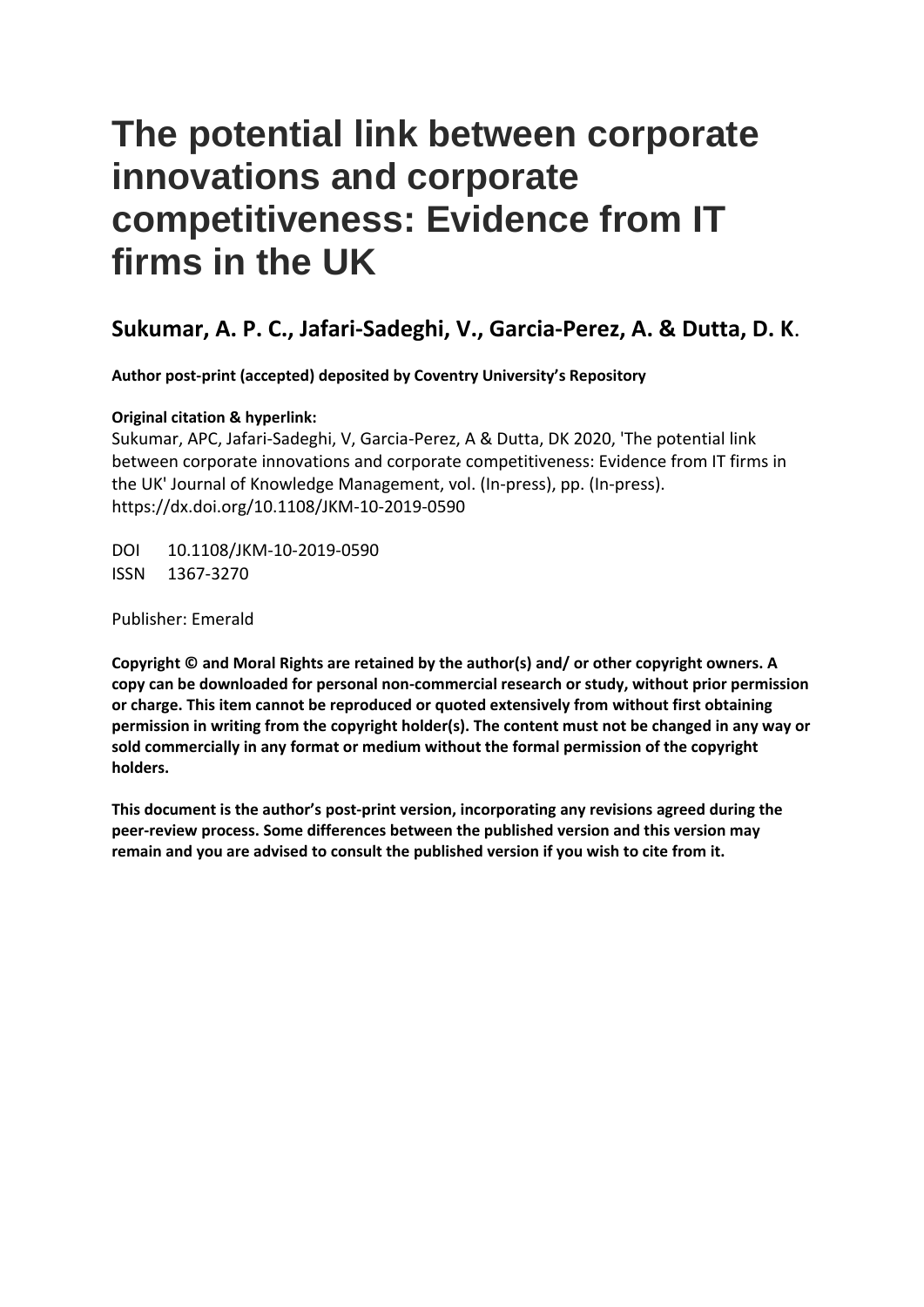# **The potential link between corporate innovations and corporate competitiveness: Evidence from IT firms in the UK**

# **Sukumar, A. P. C., Jafari-Sadeghi, V., Garcia-Perez, A. & Dutta, D. K**.

**Author post-print (accepted) deposited by Coventry University's Repository**

# **Original citation & hyperlink:**

Sukumar, APC, Jafari-Sadeghi, V, Garcia-Perez, A & Dutta, DK 2020, 'The potential link between corporate innovations and corporate competitiveness: Evidence from IT firms in the UK' Journal of Knowledge Management, vol. (In-press), pp. (In-press). https://dx.doi.org/10.1108/JKM-10-2019-0590

DOI 10.1108/JKM-10-2019-0590 ISSN 1367-3270

Publisher: Emerald

**Copyright © and Moral Rights are retained by the author(s) and/ or other copyright owners. A copy can be downloaded for personal non-commercial research or study, without prior permission or charge. This item cannot be reproduced or quoted extensively from without first obtaining permission in writing from the copyright holder(s). The content must not be changed in any way or sold commercially in any format or medium without the formal permission of the copyright holders.** 

 **peer-review process. Some differences between the published version and this version may This document is the author's post-print version, incorporating any revisions agreed during the remain and you are advised to consult the published version if you wish to cite from it.**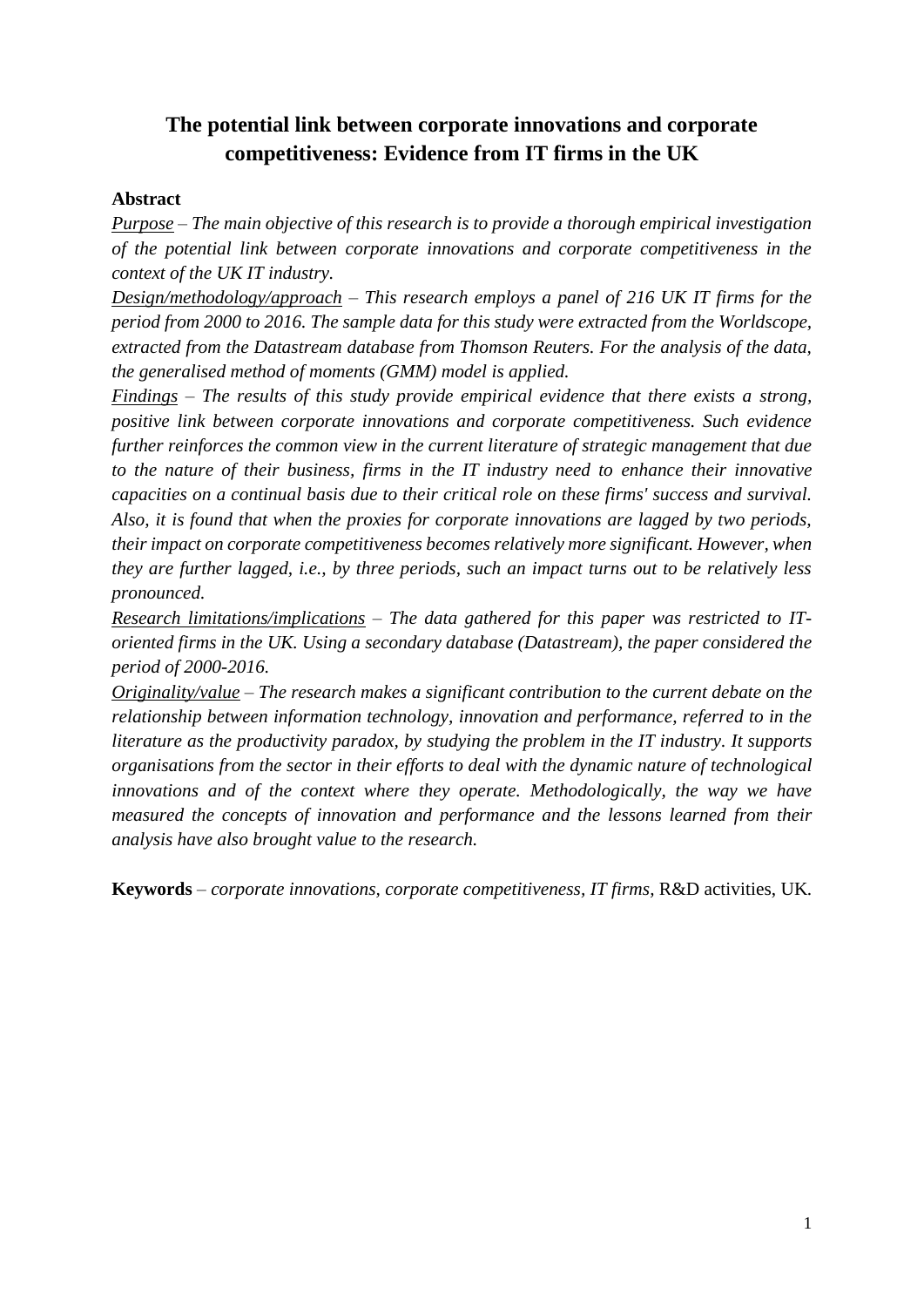# **The potential link between corporate innovations and corporate competitiveness: Evidence from IT firms in the UK**

# **Abstract**

 *Purpose – The main objective of this research is to provide a thorough empirical investigation of the potential link between corporate innovations and corporate competitiveness in the context of the UK IT industry.* 

 *Design/methodology/approach – This research employs a panel of 216 UK IT firms for the period from 2000 to 2016. The sample data for this study were extracted from the Worldscope, extracted from the Datastream database from Thomson Reuters. For the analysis of the data, the generalised method of moments (GMM) model is applied.* 

 *Findings – The results of this study provide empirical evidence that there exists a strong, positive link between corporate innovations and corporate competitiveness. Such evidence capacities on a continual basis due to their critical role on these firms' success and survival. Also, it is found that when the proxies for corporate innovations are lagged by two periods, they are further lagged, i.e., by three periods, such an impact turns out to be relatively less further reinforces the common view in the current literature of strategic management that due to the nature of their business, firms in the IT industry need to enhance their innovative their impact on corporate competitiveness becomes relatively more significant. However, when pronounced.* 

 *oriented firms in the UK. Using a secondary database (Datastream), the paper considered the Research limitations/implications – The data gathered for this paper was restricted to ITperiod of 2000-2016.* 

 *relationship between information technology, innovation and performance, referred to in the literature as the productivity paradox, by studying the problem in the IT industry. It supports organisations from the sector in their efforts to deal with the dynamic nature of technological*  innovations and of the context where they operate. Methodologically, the way we have *Originality/value – The research makes a significant contribution to the current debate on the measured the concepts of innovation and performance and the lessons learned from their analysis have also brought value to the research.* 

**Keywords** *– corporate innovations, corporate competitiveness, IT firms,* R&D activities, UK*.*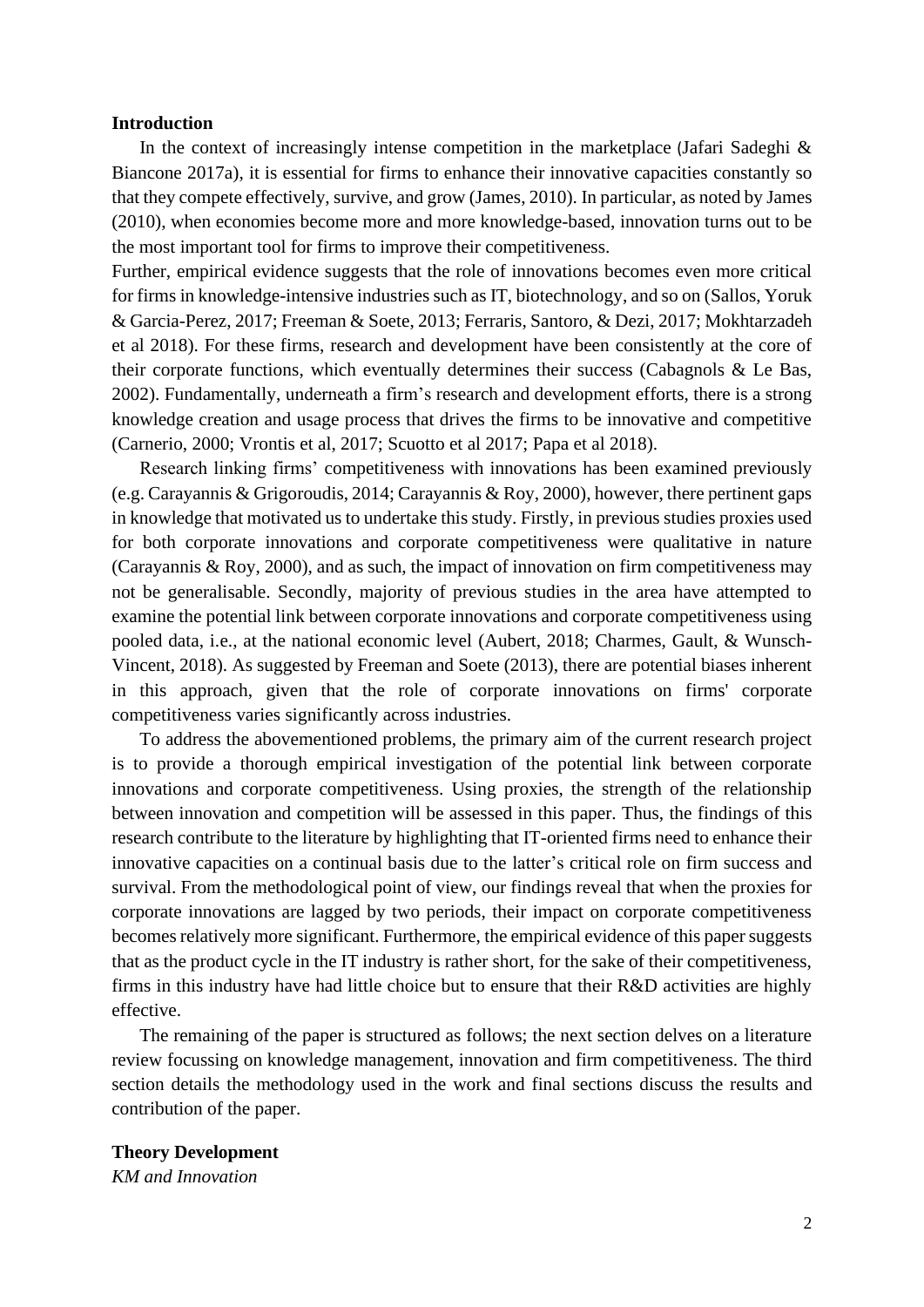## **Introduction**

 Biancone 2017a), it is essential for firms to enhance their innovative capacities constantly so (2010), when economies become more and more knowledge-based, innovation turns out to be In the context of increasingly intense competition in the marketplace (Jafari Sadeghi  $\&$ that they compete effectively, survive, and grow (James, 2010). In particular, as noted by James the most important tool for firms to improve their competitiveness.

 Further, empirical evidence suggests that the role of innovations becomes even more critical their corporate functions, which eventually determines their success (Cabagnols & Le Bas, for firms in knowledge-intensive industries such as IT, biotechnology, and so on (Sallos, Yoruk & Garcia-Perez, 2017; Freeman & Soete, 2013; Ferraris, Santoro, & Dezi, 2017; Mokhtarzadeh et al 2018). For these firms, research and development have been consistently at the core of 2002). Fundamentally, underneath a firm's research and development efforts, there is a strong knowledge creation and usage process that drives the firms to be innovative and competitive (Carnerio, 2000; Vrontis et al, 2017; Scuotto et al 2017; Papa et al 2018).

 not be generalisable. Secondly, majority of previous studies in the area have attempted to examine the potential link between corporate innovations and corporate competitiveness using Vincent, 2018). As suggested by Freeman and Soete (2013), there are potential biases inherent Research linking firms' competitiveness with innovations has been examined previously (e.g. Carayannis & Grigoroudis, 2014; Carayannis & Roy, 2000), however, there pertinent gaps in knowledge that motivated us to undertake this study. Firstly, in previous studies proxies used for both corporate innovations and corporate competitiveness were qualitative in nature (Carayannis & Roy, 2000), and as such, the impact of innovation on firm competitiveness may pooled data, i.e., at the national economic level (Aubert, 2018; Charmes, Gault, & Wunschin this approach, given that the role of corporate innovations on firms' corporate competitiveness varies significantly across industries.

 is to provide a thorough empirical investigation of the potential link between corporate between innovation and competition will be assessed in this paper. Thus, the findings of this research contribute to the literature by highlighting that IT-oriented firms need to enhance their innovative capacities on a continual basis due to the latter's critical role on firm success and becomes relatively more significant. Furthermore, the empirical evidence of this paper suggests that as the product cycle in the IT industry is rather short, for the sake of their competitiveness, effective. effective. The remaining of the paper is structured as follows; the next section delves on a literature To address the abovementioned problems, the primary aim of the current research project innovations and corporate competitiveness. Using proxies, the strength of the relationship survival. From the methodological point of view, our findings reveal that when the proxies for corporate innovations are lagged by two periods, their impact on corporate competitiveness firms in this industry have had little choice but to ensure that their R&D activities are highly

 review focussing on knowledge management, innovation and firm competitiveness. The third section details the methodology used in the work and final sections discuss the results and contribution of the paper.

**Theory Development**  *KM and Innovation*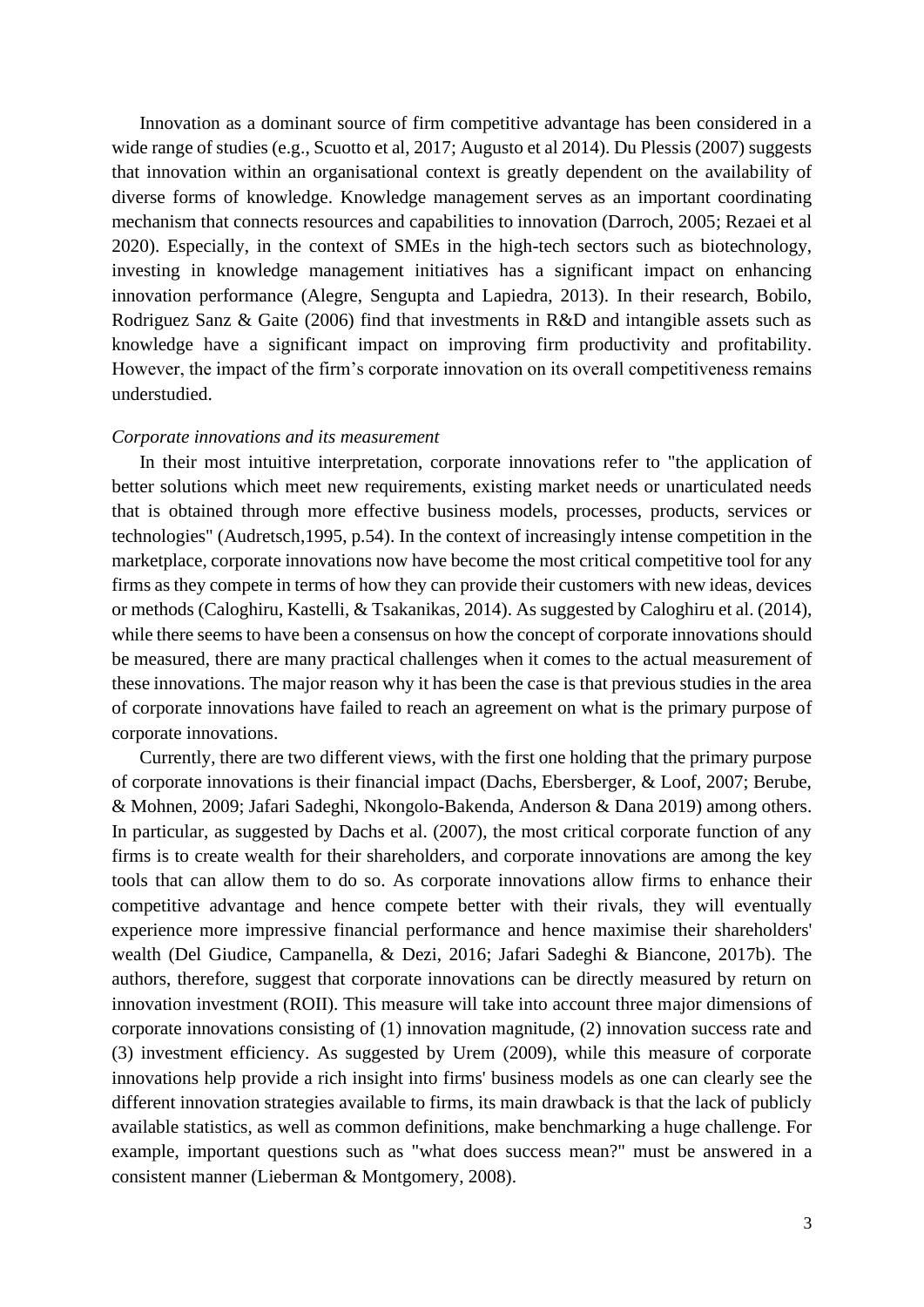wide range of studies (e.g., Scuotto et al, 2017; Augusto et al 2014). Du Plessis (2007) suggests that innovation within an organisational context is greatly dependent on the availability of Rodriguez Sanz & Gaite (2006) find that investments in R&D and intangible assets such as knowledge have a significant impact on improving firm productivity and profitability. Innovation as a dominant source of firm competitive advantage has been considered in a diverse forms of knowledge. Knowledge management serves as an important coordinating mechanism that connects resources and capabilities to innovation (Darroch, 2005; Rezaei et al 2020). Especially, in the context of SMEs in the high-tech sectors such as biotechnology, investing in knowledge management initiatives has a significant impact on enhancing innovation performance (Alegre, Sengupta and Lapiedra, 2013). In their research, Bobilo, However, the impact of the firm's corporate innovation on its overall competitiveness remains understudied.

# *Corporate innovations and its measurement*

 that is obtained through more effective business models, processes, products, services or marketplace, corporate innovations now have become the most critical competitive tool for any firms as they compete in terms of how they can provide their customers with new ideas, devices while there seems to have been a consensus on how the concept of corporate innovations should be measured, there are many practical challenges when it comes to the actual measurement of these innovations. The major reason why it has been the case is that previous studies in the area of corporate innovations have failed to reach an agreement on what is the primary purpose of In their most intuitive interpretation, corporate innovations refer to "the application of better solutions which meet new requirements, existing market needs or unarticulated needs technologies" (Audretsch,1995, p.54). In the context of increasingly intense competition in the or methods (Caloghiru, Kastelli, & Tsakanikas, 2014). As suggested by Caloghiru et al. (2014), corporate innovations.

 Currently, there are two different views, with the first one holding that the primary purpose In particular, as suggested by Dachs et al. (2007), the most critical corporate function of any firms is to create wealth for their shareholders, and corporate innovations are among the key tools that can allow them to do so. As corporate innovations allow firms to enhance their competitive advantage and hence compete better with their rivals, they will eventually experience more impressive financial performance and hence maximise their shareholders' authors, therefore, suggest that corporate innovations can be directly measured by return on innovation investment (ROII). This measure will take into account three major dimensions of innovations help provide a rich insight into firms' business models as one can clearly see the available statistics, as well as common definitions, make benchmarking a huge challenge. For example, important questions such as "what does success mean?" must be answered in a of corporate innovations is their financial impact (Dachs, Ebersberger, & Loof, 2007; Berube, & Mohnen, 2009; Jafari Sadeghi, Nkongolo-Bakenda, Anderson & Dana 2019) among others. wealth (Del Giudice, Campanella, & Dezi, 2016; Jafari Sadeghi & Biancone, 2017b). The corporate innovations consisting of (1) innovation magnitude, (2) innovation success rate and (3) investment efficiency. As suggested by Urem (2009), while this measure of corporate different innovation strategies available to firms, its main drawback is that the lack of publicly consistent manner (Lieberman & Montgomery, 2008).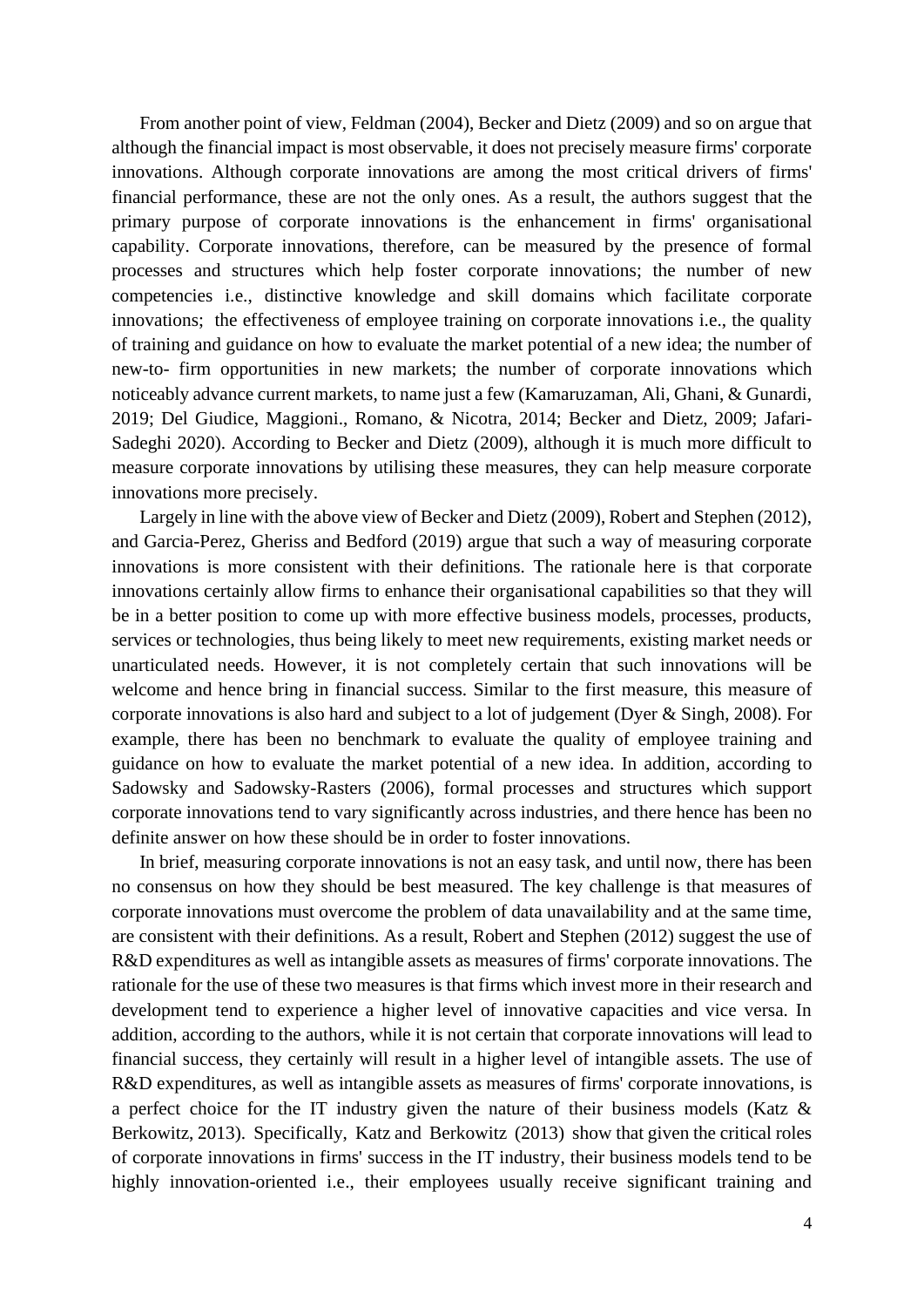From another point of view, Feldman (2004), Becker and Dietz (2009) and so on argue that competencies i.e., distinctive knowledge and skill domains which facilitate corporate noticeably advance current markets, to name just a few (Kamaruzaman, Ali, Ghani, & Gunardi, 2019; Del Giudice, Maggioni., Romano, & Nicotra, 2014; Becker and Dietz, 2009; Jafari- Sadeghi 2020). According to Becker and Dietz (2009), although it is much more difficult to measure corporate innovations by utilising these measures, they can help measure corporate although the financial impact is most observable, it does not precisely measure firms' corporate innovations. Although corporate innovations are among the most critical drivers of firms' financial performance, these are not the only ones. As a result, the authors suggest that the primary purpose of corporate innovations is the enhancement in firms' organisational capability. Corporate innovations, therefore, can be measured by the presence of formal processes and structures which help foster corporate innovations; the number of new innovations; the effectiveness of employee training on corporate innovations i.e., the quality of training and guidance on how to evaluate the market potential of a new idea; the number of new-to- firm opportunities in new markets; the number of corporate innovations which innovations more precisely.

 Largely in line with the above view of Becker and Dietz (2009), Robert and Stephen (2012), and Garcia-Perez, Gheriss and Bedford (2019) argue that such a way of measuring corporate innovations certainly allow firms to enhance their organisational capabilities so that they will be in a better position to come up with more effective business models, processes, products, services or technologies, thus being likely to meet new requirements, existing market needs or unarticulated needs. However, it is not completely certain that such innovations will be welcome and hence bring in financial success. Similar to the first measure, this measure of corporate innovations is also hard and subject to a lot of judgement (Dyer & Singh, 2008). For example, there has been no benchmark to evaluate the quality of employee training and innovations is more consistent with their definitions. The rationale here is that corporate guidance on how to evaluate the market potential of a new idea. In addition, according to Sadowsky and Sadowsky-Rasters (2006), formal processes and structures which support corporate innovations tend to vary significantly across industries, and there hence has been no definite answer on how these should be in order to foster innovations.

 In brief, measuring corporate innovations is not an easy task, and until now, there has been R&D expenditures as well as intangible assets as measures of firms' corporate innovations. The rationale for the use of these two measures is that firms which invest more in their research and development tend to experience a higher level of innovative capacities and vice versa. In addition, according to the authors, while it is not certain that corporate innovations will lead to financial success, they certainly will result in a higher level of intangible assets. The use of R&D expenditures, as well as intangible assets as measures of firms' corporate innovations, is a perfect choice for the IT industry given the nature of their business models (Katz & Berkowitz, 2013). Specifically, Katz and Berkowitz (2013) show that given the critical roles of corporate innovations in firms' success in the IT industry, their business models tend to be highly innovation-oriented i.e., their employees usually receive significant training and no consensus on how they should be best measured. The key challenge is that measures of corporate innovations must overcome the problem of data unavailability and at the same time, are consistent with their definitions. As a result, Robert and Stephen (2012) suggest the use of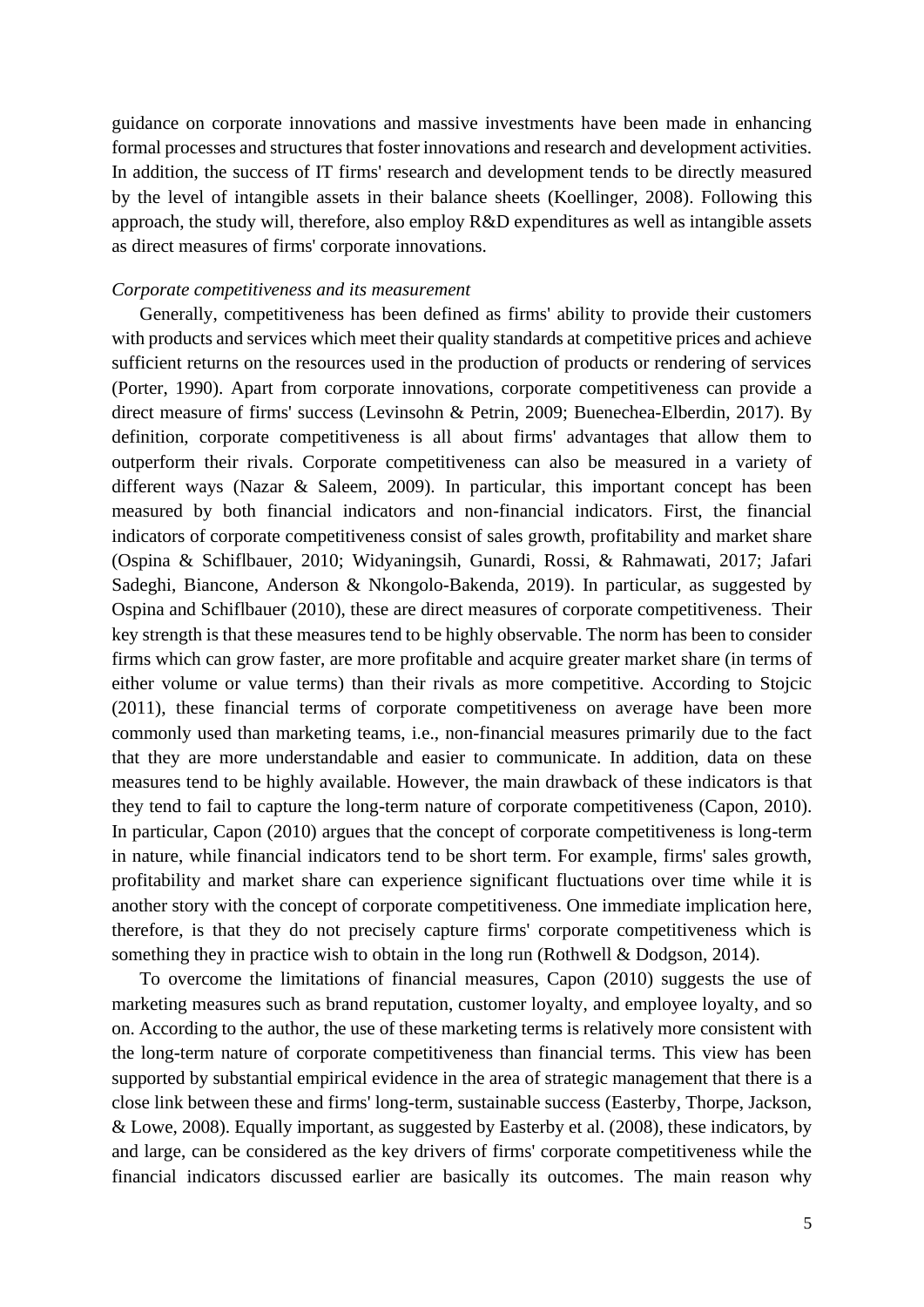guidance on corporate innovations and massive investments have been made in enhancing approach, the study will, therefore, also employ R&D expenditures as well as intangible assets formal processes and structures that foster innovations and research and development activities. In addition, the success of IT firms' research and development tends to be directly measured by the level of intangible assets in their balance sheets (Koellinger, 2008). Following this as direct measures of firms' corporate innovations.

# *Corporate competitiveness and its measurement*

 Generally, competitiveness has been defined as firms' ability to provide their customers with products and services which meet their quality standards at competitive prices and achieve (Porter, 1990). Apart from corporate innovations, corporate competitiveness can provide a Ospina and Schiflbauer (2010), these are direct measures of corporate competitiveness. Their (2011), these financial terms of corporate competitiveness on average have been more commonly used than marketing teams, i.e., non-financial measures primarily due to the fact that they are more understandable and easier to communicate. In addition, data on these they tend to fail to capture the long-term nature of corporate competitiveness (Capon, 2010). profitability and market share can experience significant fluctuations over time while it is sufficient returns on the resources used in the production of products or rendering of services direct measure of firms' success (Levinsohn & Petrin, 2009; Buenechea-Elberdin, 2017). By definition, corporate competitiveness is all about firms' advantages that allow them to outperform their rivals. Corporate competitiveness can also be measured in a variety of different ways (Nazar & Saleem, 2009). In particular, this important concept has been measured by both financial indicators and non-financial indicators. First, the financial indicators of corporate competitiveness consist of sales growth, profitability and market share (Ospina & Schiflbauer, 2010; Widyaningsih, Gunardi, Rossi, & Rahmawati, 2017; Jafari Sadeghi, Biancone, Anderson & Nkongolo-Bakenda, 2019). In particular, as suggested by key strength is that these measures tend to be highly observable. The norm has been to consider firms which can grow faster, are more profitable and acquire greater market share (in terms of either volume or value terms) than their rivals as more competitive. According to Stojcic measures tend to be highly available. However, the main drawback of these indicators is that In particular, Capon (2010) argues that the concept of corporate competitiveness is long-term in nature, while financial indicators tend to be short term. For example, firms' sales growth, another story with the concept of corporate competitiveness. One immediate implication here, therefore, is that they do not precisely capture firms' corporate competitiveness which is something they in practice wish to obtain in the long run (Rothwell & Dodgson, 2014).

 To overcome the limitations of financial measures, Capon (2010) suggests the use of on. According to the author, the use of these marketing terms is relatively more consistent with the long-term nature of corporate competitiveness than financial terms. This view has been financial indicators discussed earlier are basically its outcomes. The main reason why marketing measures such as brand reputation, customer loyalty, and employee loyalty, and so supported by substantial empirical evidence in the area of strategic management that there is a close link between these and firms' long-term, sustainable success (Easterby, Thorpe, Jackson, & Lowe, 2008). Equally important, as suggested by Easterby et al. (2008), these indicators, by and large, can be considered as the key drivers of firms' corporate competitiveness while the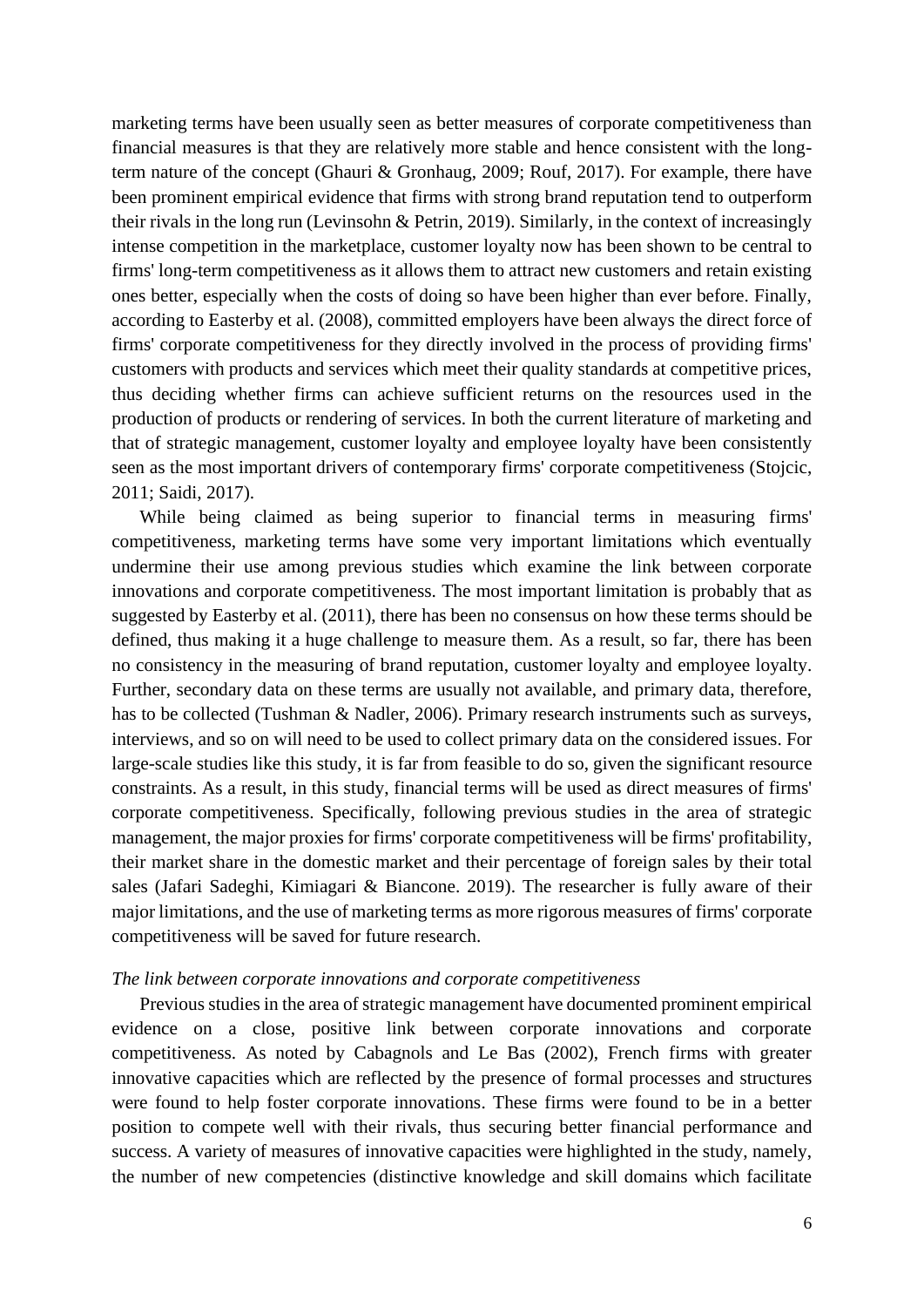financial measures is that they are relatively more stable and hence consistent with the long- term nature of the concept (Ghauri & Gronhaug, 2009; Rouf, 2017). For example, there have their rivals in the long run (Levinsohn & Petrin, 2019). Similarly, in the context of increasingly firms' long-term competitiveness as it allows them to attract new customers and retain existing ones better, especially when the costs of doing so have been higher than ever before. Finally, according to Easterby et al. (2008), committed employers have been always the direct force of production of products or rendering of services. In both the current literature of marketing and seen as the most important drivers of contemporary firms' corporate competitiveness (Stojcic, marketing terms have been usually seen as better measures of corporate competitiveness than been prominent empirical evidence that firms with strong brand reputation tend to outperform intense competition in the marketplace, customer loyalty now has been shown to be central to firms' corporate competitiveness for they directly involved in the process of providing firms' customers with products and services which meet their quality standards at competitive prices, thus deciding whether firms can achieve sufficient returns on the resources used in the that of strategic management, customer loyalty and employee loyalty have been consistently 2011; Saidi, 2017).

 competitiveness, marketing terms have some very important limitations which eventually undermine their use among previous studies which examine the link between corporate innovations and corporate competitiveness. The most important limitation is probably that as suggested by Easterby et al. (2011), there has been no consensus on how these terms should be defined, thus making it a huge challenge to measure them. As a result, so far, there has been interviews, and so on will need to be used to collect primary data on the considered issues. For large-scale studies like this study, it is far from feasible to do so, given the significant resource constraints. As a result, in this study, financial terms will be used as direct measures of firms' corporate competitiveness. Specifically, following previous studies in the area of strategic management, the major proxies for firms' corporate competitiveness will be firms' profitability, their market share in the domestic market and their percentage of foreign sales by their total While being claimed as being superior to financial terms in measuring firms' no consistency in the measuring of brand reputation, customer loyalty and employee loyalty. Further, secondary data on these terms are usually not available, and primary data, therefore, has to be collected (Tushman & Nadler, 2006). Primary research instruments such as surveys, sales (Jafari Sadeghi, Kimiagari & Biancone. 2019). The researcher is fully aware of their major limitations, and the use of marketing terms as more rigorous measures of firms' corporate competitiveness will be saved for future research.

# *The link between corporate innovations and corporate competitiveness*

 Previous studies in the area of strategic management have documented prominent empirical evidence on a close, positive link between corporate innovations and corporate competitiveness. As noted by Cabagnols and Le Bas (2002), French firms with greater were found to help foster corporate innovations. These firms were found to be in a better the number of new competencies (distinctive knowledge and skill domains which facilitate innovative capacities which are reflected by the presence of formal processes and structures position to compete well with their rivals, thus securing better financial performance and success. A variety of measures of innovative capacities were highlighted in the study, namely,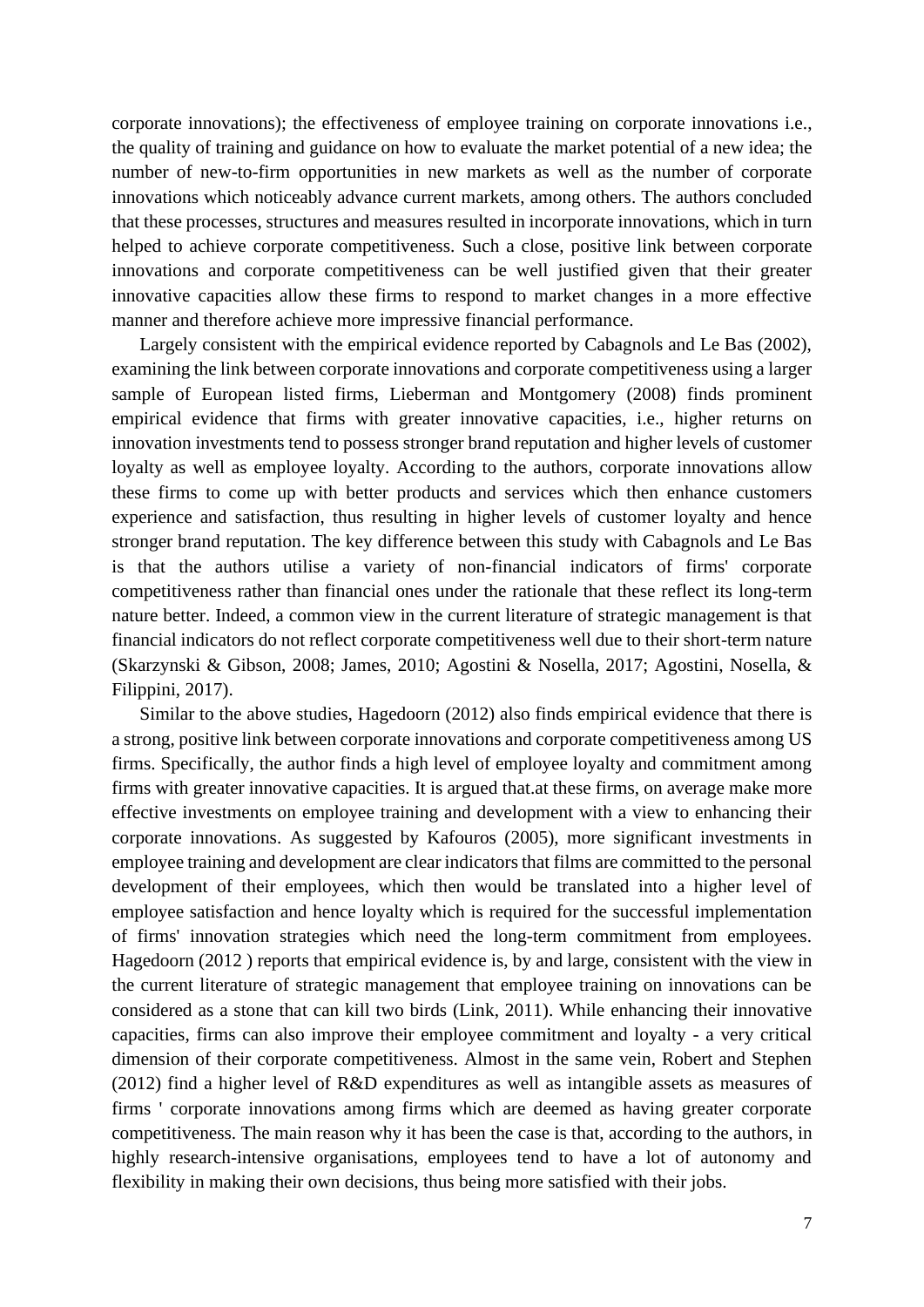that these processes, structures and measures resulted in incorporate innovations, which in turn innovations and corporate competitiveness can be well justified given that their greater innovative capacities allow these firms to respond to market changes in a more effective corporate innovations); the effectiveness of employee training on corporate innovations i.e., the quality of training and guidance on how to evaluate the market potential of a new idea; the number of new-to-firm opportunities in new markets as well as the number of corporate innovations which noticeably advance current markets, among others. The authors concluded helped to achieve corporate competitiveness. Such a close, positive link between corporate manner and therefore achieve more impressive financial performance.

 Largely consistent with the empirical evidence reported by Cabagnols and Le Bas (2002), examining the link between corporate innovations and corporate competitiveness using a larger stronger brand reputation. The key difference between this study with Cabagnols and Le Bas is that the authors utilise a variety of non-financial indicators of firms' corporate nature better. Indeed, a common view in the current literature of strategic management is that financial indicators do not reflect corporate competitiveness well due to their short-term nature sample of European listed firms, Lieberman and Montgomery (2008) finds prominent empirical evidence that firms with greater innovative capacities, i.e., higher returns on innovation investments tend to possess stronger brand reputation and higher levels of customer loyalty as well as employee loyalty. According to the authors, corporate innovations allow these firms to come up with better products and services which then enhance customers experience and satisfaction, thus resulting in higher levels of customer loyalty and hence competitiveness rather than financial ones under the rationale that these reflect its long-term (Skarzynski & Gibson, 2008; James, 2010; Agostini & Nosella, 2017; Agostini, Nosella, & Filippini, 2017).

 Similar to the above studies, Hagedoorn (2012) also finds empirical evidence that there is firms. Specifically, the author finds a high level of employee loyalty and commitment among firms with greater innovative capacities. It is argued that.at these firms, on average make more effective investments on employee training and development with a view to enhancing their employee training and development are clear indicators that films are committed to the personal development of their employees, which then would be translated into a higher level of Hagedoorn (2012 ) reports that empirical evidence is, by and large, consistent with the view in the current literature of strategic management that employee training on innovations can be considered as a stone that can kill two birds (Link, 2011). While enhancing their innovative capacities, firms can also improve their employee commitment and loyalty - a very critical dimension of their corporate competitiveness. Almost in the same vein, Robert and Stephen (2012) find a higher level of R&D expenditures as well as intangible assets as measures of highly research-intensive organisations, employees tend to have a lot of autonomy and a strong, positive link between corporate innovations and corporate competitiveness among US corporate innovations. As suggested by Kafouros (2005), more significant investments in employee satisfaction and hence loyalty which is required for the successful implementation of firms' innovation strategies which need the long-term commitment from employees. firms ' corporate innovations among firms which are deemed as having greater corporate competitiveness. The main reason why it has been the case is that, according to the authors, in flexibility in making their own decisions, thus being more satisfied with their jobs.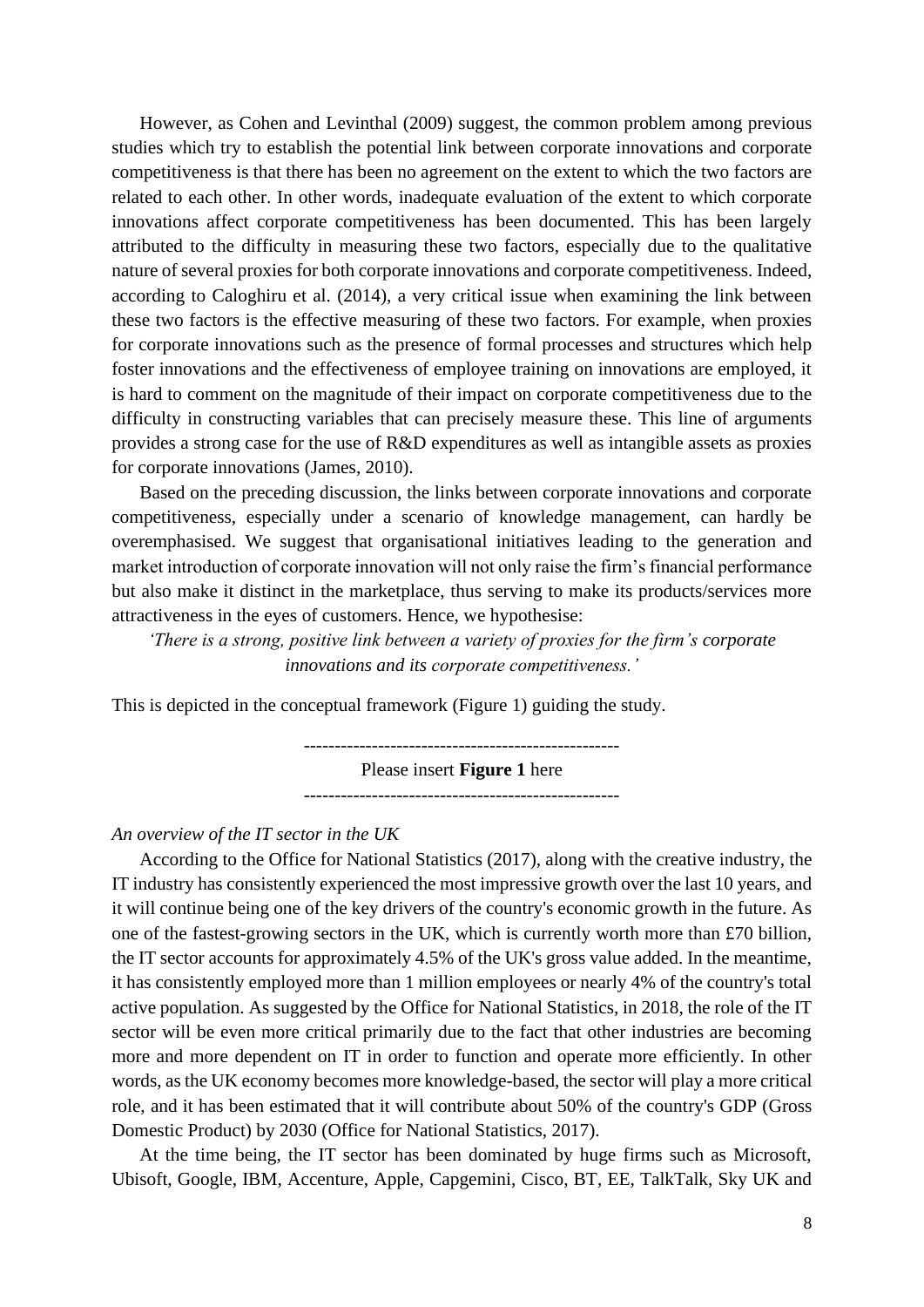However, as Cohen and Levinthal (2009) suggest, the common problem among previous innovations affect corporate competitiveness has been documented. This has been largely nature of several proxies for both corporate innovations and corporate competitiveness. Indeed, according to Caloghiru et al. (2014), a very critical issue when examining the link between provides a strong case for the use of R&D expenditures as well as intangible assets as proxies studies which try to establish the potential link between corporate innovations and corporate competitiveness is that there has been no agreement on the extent to which the two factors are related to each other. In other words, inadequate evaluation of the extent to which corporate attributed to the difficulty in measuring these two factors, especially due to the qualitative these two factors is the effective measuring of these two factors. For example, when proxies for corporate innovations such as the presence of formal processes and structures which help foster innovations and the effectiveness of employee training on innovations are employed, it is hard to comment on the magnitude of their impact on corporate competitiveness due to the difficulty in constructing variables that can precisely measure these. This line of arguments for corporate innovations (James, 2010).

 competitiveness, especially under a scenario of knowledge management, can hardly be but also make it distinct in the marketplace, thus serving to make its products/services more Based on the preceding discussion, the links between corporate innovations and corporate overemphasised. We suggest that organisational initiatives leading to the generation and market introduction of corporate innovation will not only raise the firm's financial performance attractiveness in the eyes of customers. Hence, we hypothesise:

*'There is a strong, positive link between a variety of proxies for the firm's corporate innovations and its corporate competitiveness.'*

This is depicted in the conceptual framework (Figure 1) guiding the study.

--------------------------------------------------- --------------------------------------------------- Please insert **Figure 1** here

#### *An overview of the IT sector in the UK*

 According to the Office for National Statistics (2017), along with the creative industry, the IT industry has consistently experienced the most impressive growth over the last 10 years, and it will continue being one of the key drivers of the country's economic growth in the future. As the IT sector accounts for approximately 4.5% of the UK's gross value added. In the meantime, active population. As suggested by the Office for National Statistics, in 2018, the role of the IT sector will be even more critical primarily due to the fact that other industries are becoming more and more dependent on IT in order to function and operate more efficiently. In other words, as the UK economy becomes more knowledge-based, the sector will play a more critical role, and it has been estimated that it will contribute about 50% of the country's GDP (Gross one of the fastest-growing sectors in the UK, which is currently worth more than £70 billion, it has consistently employed more than 1 million employees or nearly 4% of the country's total Domestic Product) by 2030 (Office for National Statistics, 2017).

At the time being, the IT sector has been dominated by huge firms such as Microsoft, Ubisoft, Google, IBM, Accenture, Apple, Capgemini, Cisco, BT, EE, TalkTalk, Sky UK and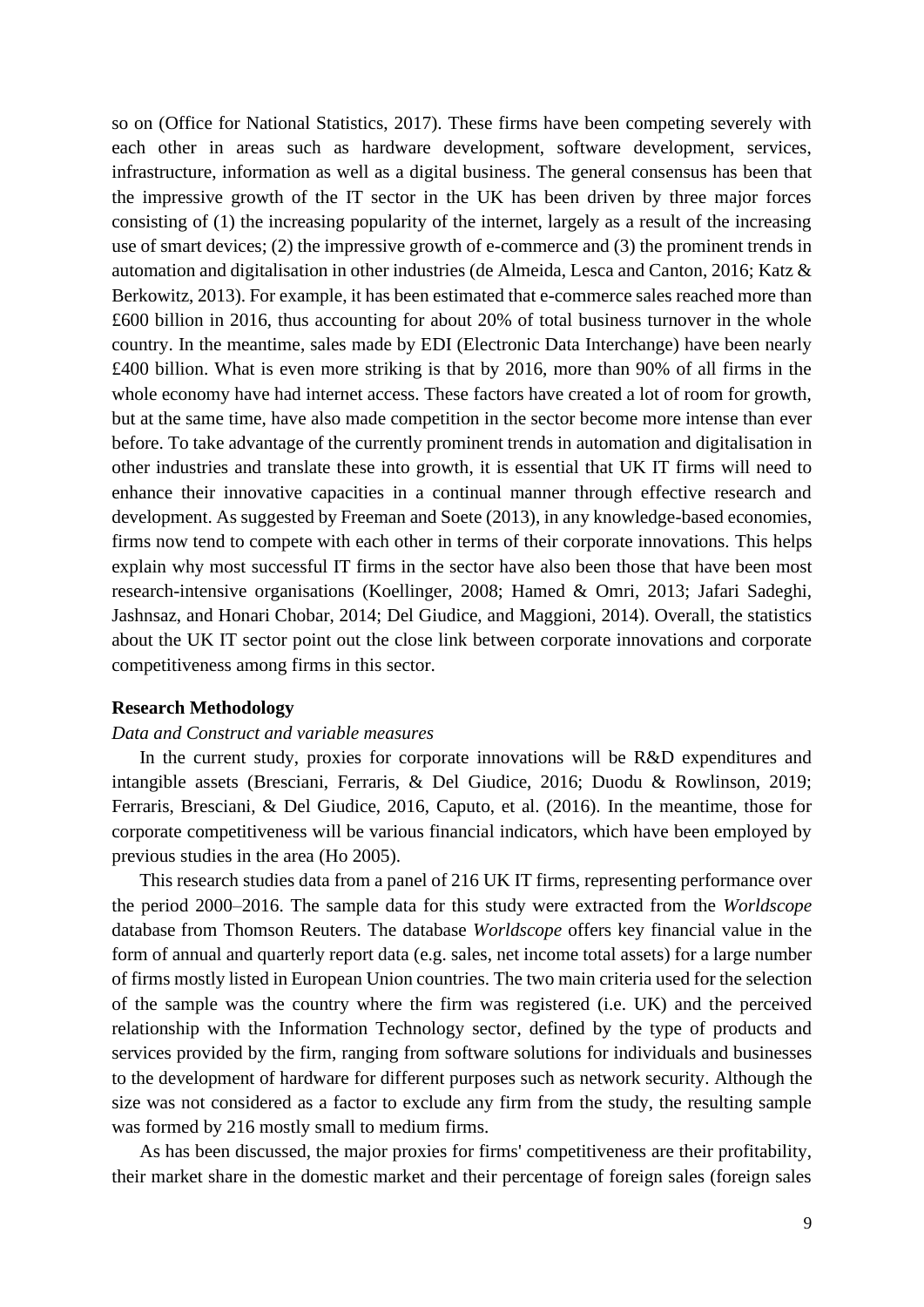so on (Office for National Statistics, 2017). These firms have been competing severely with infrastructure, information as well as a digital business. The general consensus has been that the impressive growth of the IT sector in the UK has been driven by three major forces consisting of (1) the increasing popularity of the internet, largely as a result of the increasing use of smart devices; (2) the impressive growth of e-commerce and (3) the prominent trends in Berkowitz, 2013). For example, it has been estimated that e-commerce sales reached more than £600 billion in 2016, thus accounting for about 20% of total business turnover in the whole country. In the meantime, sales made by EDI (Electronic Data Interchange) have been nearly £400 billion. What is even more striking is that by 2016, more than 90% of all firms in the before. To take advantage of the currently prominent trends in automation and digitalisation in other industries and translate these into growth, it is essential that UK IT firms will need to enhance their innovative capacities in a continual manner through effective research and firms now tend to compete with each other in terms of their corporate innovations. This helps explain why most successful IT firms in the sector have also been those that have been most about the UK IT sector point out the close link between corporate innovations and corporate each other in areas such as hardware development, software development, services, automation and digitalisation in other industries (de Almeida, Lesca and Canton, 2016; Katz & whole economy have had internet access. These factors have created a lot of room for growth, but at the same time, have also made competition in the sector become more intense than ever development. As suggested by Freeman and Soete (2013), in any knowledge-based economies, research-intensive organisations (Koellinger, 2008; Hamed & Omri, 2013; Jafari Sadeghi, Jashnsaz, and Honari Chobar, 2014; Del Giudice, and Maggioni, 2014). Overall, the statistics competitiveness among firms in this sector.

# **Research Methodology**

# *Data and Construct and variable measures*

 In the current study, proxies for corporate innovations will be R&D expenditures and corporate competitiveness will be various financial indicators, which have been employed by intangible assets (Bresciani, Ferraris, & Del Giudice, 2016; Duodu & Rowlinson, 2019; Ferraris, Bresciani, & Del Giudice, 2016, Caputo, et al. (2016). In the meantime, those for previous studies in the area (Ho 2005).

 This research studies data from a panel of 216 UK IT firms, representing performance over the period 2000–2016. The sample data for this study were extracted from the *Worldscope*  database from Thomson Reuters. The database *Worldscope* offers key financial value in the form of annual and quarterly report data (e.g. sales, net income total assets) for a large number of firms mostly listed in European Union countries. The two main criteria used for the selection of the sample was the country where the firm was registered (i.e. UK) and the perceived relationship with the Information Technology sector, defined by the type of products and services provided by the firm, ranging from software solutions for individuals and businesses to the development of hardware for different purposes such as network security. Although the size was not considered as a factor to exclude any firm from the study, the resulting sample was formed by 216 mostly small to medium firms.

 As has been discussed, the major proxies for firms' competitiveness are their profitability, their market share in the domestic market and their percentage of foreign sales (foreign sales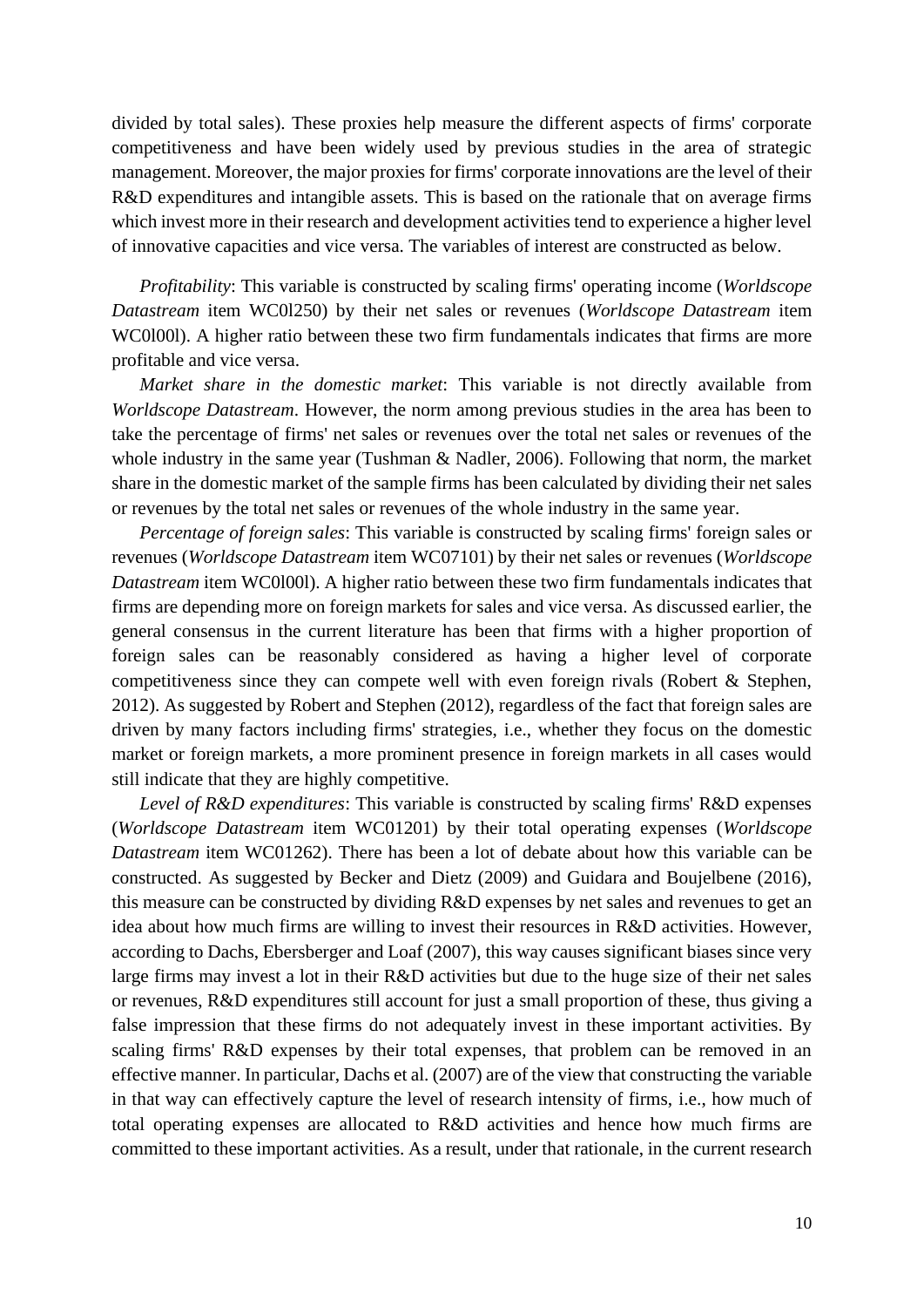divided by total sales). These proxies help measure the different aspects of firms' corporate competitiveness and have been widely used by previous studies in the area of strategic management. Moreover, the major proxies for firms' corporate innovations are the level of their R&D expenditures and intangible assets. This is based on the rationale that on average firms which invest more in their research and development activities tend to experience a higher level of innovative capacities and vice versa. The variables of interest are constructed as below.

 *Datastream* item WC0l250) by their net sales or revenues (*Worldscope Datastream* item WC0l00l). A higher ratio between these two firm fundamentals indicates that firms are more *Profitability*: This variable is constructed by scaling firms' operating income (*Worldscope*  profitable and vice versa.

 *Worldscope Datastream*. However, the norm among previous studies in the area has been to take the percentage of firms' net sales or revenues over the total net sales or revenues of the *Market share in the domestic market*: This variable is not directly available from whole industry in the same year (Tushman & Nadler, 2006). Following that norm, the market share in the domestic market of the sample firms has been calculated by dividing their net sales or revenues by the total net sales or revenues of the whole industry in the same year.

 general consensus in the current literature has been that firms with a higher proportion of foreign sales can be reasonably considered as having a higher level of corporate competitiveness since they can compete well with even foreign rivals (Robert & Stephen, 2012). As suggested by Robert and Stephen (2012), regardless of the fact that foreign sales are market or foreign markets, a more prominent presence in foreign markets in all cases would *Percentage of foreign sales*: This variable is constructed by scaling firms' foreign sales or revenues (*Worldscope Datastream* item WC07101) by their net sales or revenues (*Worldscope Datastream* item WC0l00l). A higher ratio between these two firm fundamentals indicates that firms are depending more on foreign markets for sales and vice versa. As discussed earlier, the driven by many factors including firms' strategies, i.e., whether they focus on the domestic still indicate that they are highly competitive.

 *Datastream* item WC01262). There has been a lot of debate about how this variable can be constructed. As suggested by Becker and Dietz (2009) and Guidara and Boujelbene (2016), idea about how much firms are willing to invest their resources in R&D activities. However, according to Dachs, Ebersberger and Loaf (2007), this way causes significant biases since very large firms may invest a lot in their R&D activities but due to the huge size of their net sales or revenues, R&D expenditures still account for just a small proportion of these, thus giving a scaling firms' R&D expenses by their total expenses, that problem can be removed in an in that way can effectively capture the level of research intensity of firms, i.e., how much of total operating expenses are allocated to R&D activities and hence how much firms are *Level of R&D expenditures*: This variable is constructed by scaling firms' R&D expenses (*Worldscope Datastream* item WC01201) by their total operating expenses (*Worldscope*  this measure can be constructed by dividing R&D expenses by net sales and revenues to get an false impression that these firms do not adequately invest in these important activities. By effective manner. In particular, Dachs et al. (2007) are of the view that constructing the variable committed to these important activities. As a result, under that rationale, in the current research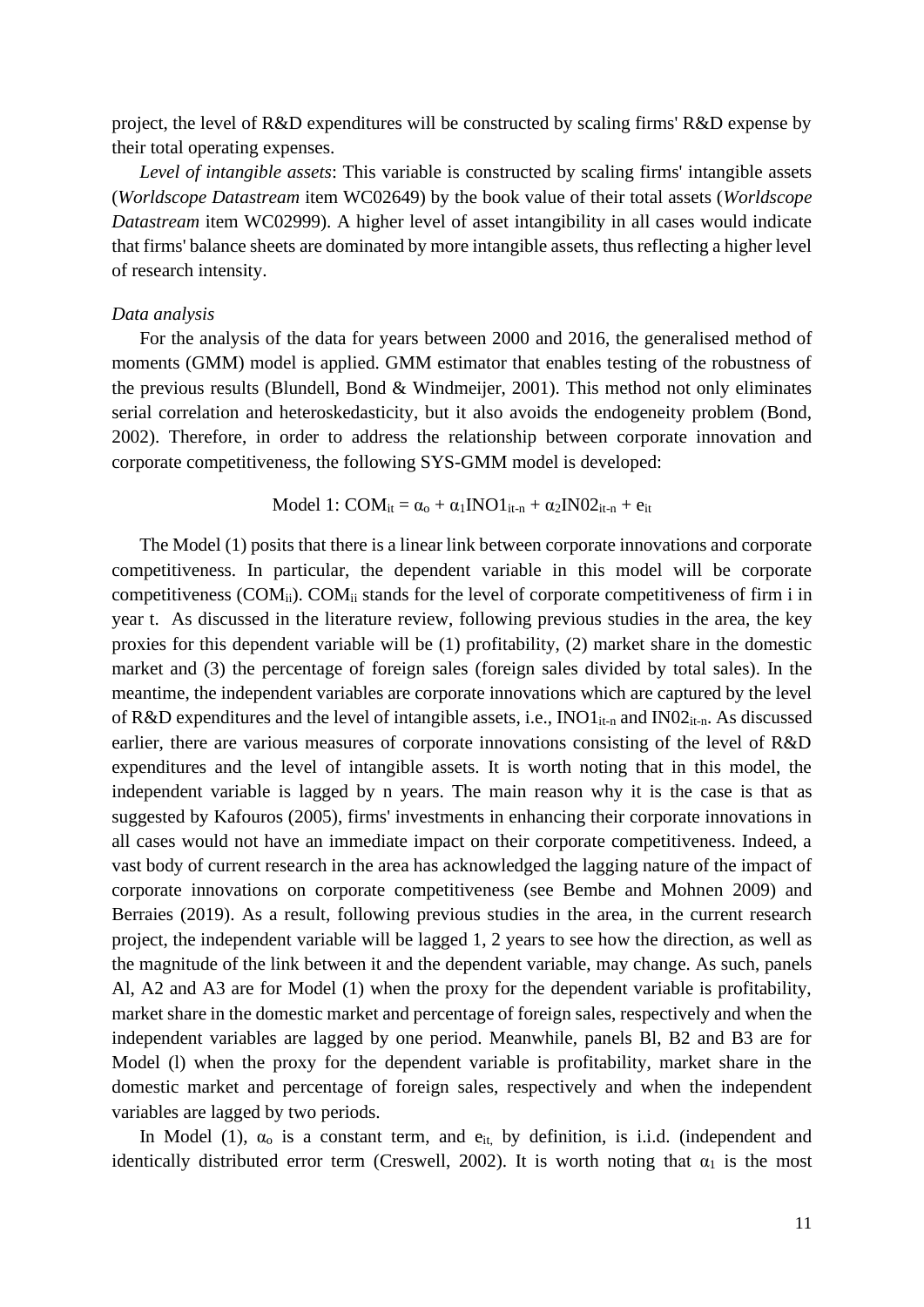project, the level of R&D expenditures will be constructed by scaling firms' R&D expense by their total operating expenses.

 (*Worldscope Datastream* item WC02649) by the book value of their total assets (*Worldscope Datastream* item WC02999). A higher level of asset intangibility in all cases would indicate that firms' balance sheets are dominated by more intangible assets, thus reflecting a higher level *Level of intangible assets*: This variable is constructed by scaling firms' intangible assets of research intensity.

#### *Data analysis*

 serial correlation and heteroskedasticity, but it also avoids the endogeneity problem (Bond, For the analysis of the data for years between 2000 and 2016, the generalised method of moments (GMM) model is applied. GMM estimator that enables testing of the robustness of the previous results (Blundell, Bond & Windmeijer, 2001). This method not only eliminates 2002). Therefore, in order to address the relationship between corporate innovation and corporate competitiveness, the following SYS-GMM model is developed:

$$
Model~1:COM_{it}=\alpha_o+\alpha_1 INO1_{it\text{-}n}+\alpha_2 INO2_{it\text{-}n}+e_{it}
$$

 The Model (1) posits that there is a linear link between corporate innovations and corporate competitiveness. In particular, the dependent variable in this model will be corporate meantime, the independent variables are corporate innovations which are captured by the level earlier, there are various measures of corporate innovations consisting of the level of R&D expenditures and the level of intangible assets. It is worth noting that in this model, the independent variable is lagged by n years. The main reason why it is the case is that as all cases would not have an immediate impact on their corporate competitiveness. Indeed, a vast body of current research in the area has acknowledged the lagging nature of the impact of project, the independent variable will be lagged 1, 2 years to see how the direction, as well as Al, A2 and A3 are for Model (1) when the proxy for the dependent variable is profitability, market share in the domestic market and percentage of foreign sales, respectively and when the independent variables are lagged by one period. Meanwhile, panels Bl, B2 and B3 are for Model (l) when the proxy for the dependent variable is profitability, market share in the domestic market and percentage of foreign sales, respectively and when the independent competitiveness (COM<sub>ii</sub>). COM<sub>ii</sub> stands for the level of corporate competitiveness of firm i in year t. As discussed in the literature review, following previous studies in the area, the key proxies for this dependent variable will be (1) profitability, (2) market share in the domestic market and (3) the percentage of foreign sales (foreign sales divided by total sales). In the of R&D expenditures and the level of intangible assets, i.e.,  $INO1_{it-n}$  and  $INO2_{it-n}$ . As discussed suggested by Kafouros (2005), firms' investments in enhancing their corporate innovations in corporate innovations on corporate competitiveness (see Bembe and Mohnen 2009) and Berraies (2019). As a result, following previous studies in the area, in the current research the magnitude of the link between it and the dependent variable, may change. As such, panels variables are lagged by two periods.

In Model (1),  $\alpha_0$  is a constant term, and  $e_{it}$ , by definition, is i.i.d. (independent and identically distributed error term (Creswell, 2002). It is worth noting that  $\alpha_1$  is the most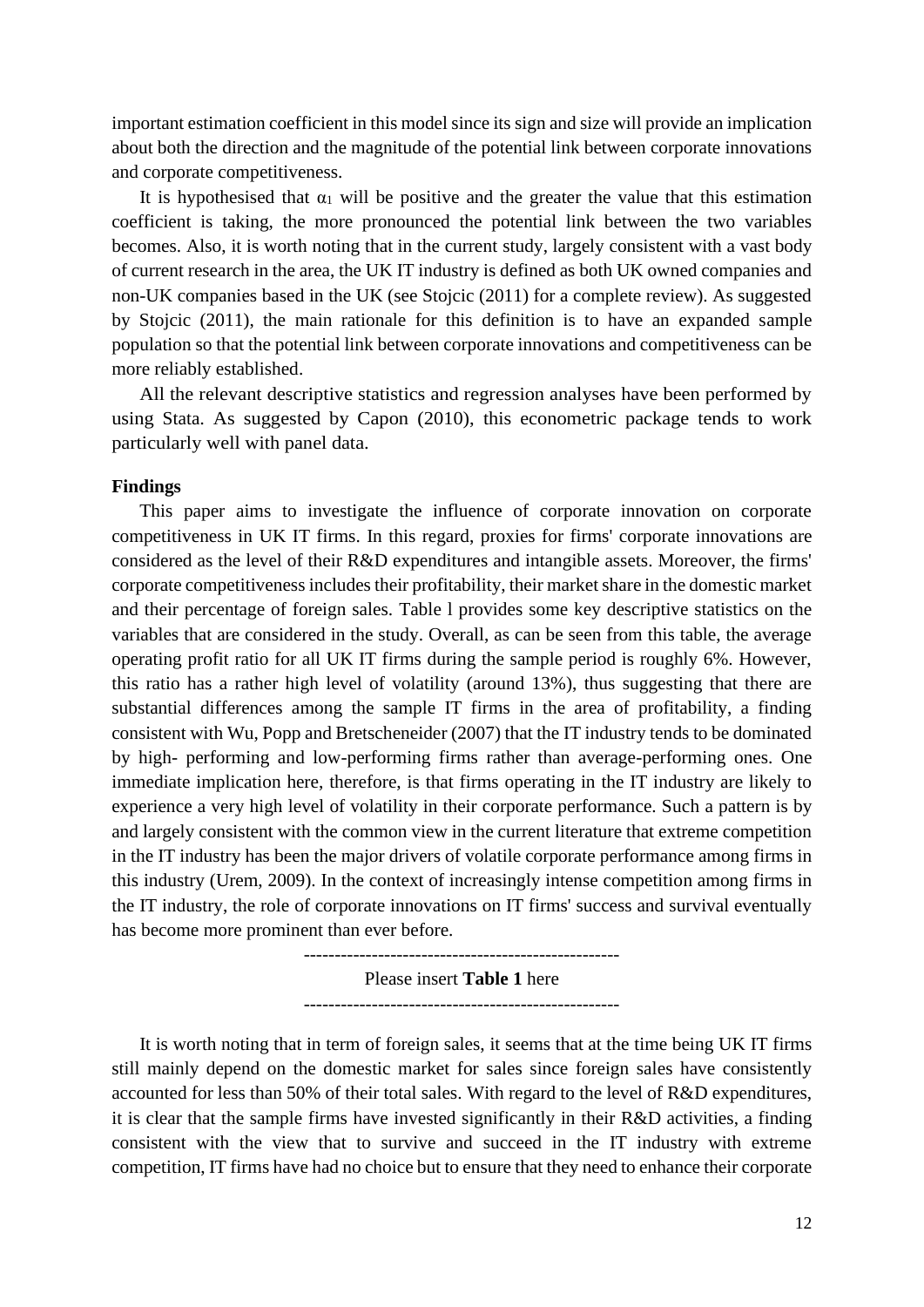important estimation coefficient in this model since its sign and size will provide an implication about both the direction and the magnitude of the potential link between corporate innovations and corporate competitiveness.

It is hypothesised that  $\alpha_1$  will be positive and the greater the value that this estimation becomes. Also, it is worth noting that in the current study, largely consistent with a vast body non-UK companies based in the UK (see Stojcic (2011) for a complete review). As suggested by Stojcic (2011), the main rationale for this definition is to have an expanded sample population so that the potential link between corporate innovations and competitiveness can be coefficient is taking, the more pronounced the potential link between the two variables of current research in the area, the UK IT industry is defined as both UK owned companies and more reliably established.

 All the relevant descriptive statistics and regression analyses have been performed by using Stata. As suggested by Capon (2010), this econometric package tends to work particularly well with panel data.

# **Findings**

 corporate competitiveness includes their profitability, their market share in the domestic market and their percentage of foreign sales. Table l provides some key descriptive statistics on the operating profit ratio for all UK IT firms during the sample period is roughly 6%. However, this ratio has a rather high level of volatility (around 13%), thus suggesting that there are substantial differences among the sample IT firms in the area of profitability, a finding consistent with Wu, Popp and Bretscheneider (2007) that the IT industry tends to be dominated by high- performing and low-performing firms rather than average-performing ones. One experience a very high level of volatility in their corporate performance. Such a pattern is by and largely consistent with the common view in the current literature that extreme competition This paper aims to investigate the influence of corporate innovation on corporate competitiveness in UK IT firms. In this regard, proxies for firms' corporate innovations are considered as the level of their R&D expenditures and intangible assets. Moreover, the firms' variables that are considered in the study. Overall, as can be seen from this table, the average immediate implication here, therefore, is that firms operating in the IT industry are likely to in the IT industry has been the major drivers of volatile corporate performance among firms in this industry (Urem, 2009). In the context of increasingly intense competition among firms in the IT industry, the role of corporate innovations on IT firms' success and survival eventually has become more prominent than ever before.

> --------------------------------------------------- --------------------------------------------------- Please insert **Table 1** here

 still mainly depend on the domestic market for sales since foreign sales have consistently accounted for less than 50% of their total sales. With regard to the level of R&D expenditures, it is clear that the sample firms have invested significantly in their R&D activities, a finding consistent with the view that to survive and succeed in the IT industry with extreme competition, IT firms have had no choice but to ensure that they need to enhance their corporate It is worth noting that in term of foreign sales, it seems that at the time being UK IT firms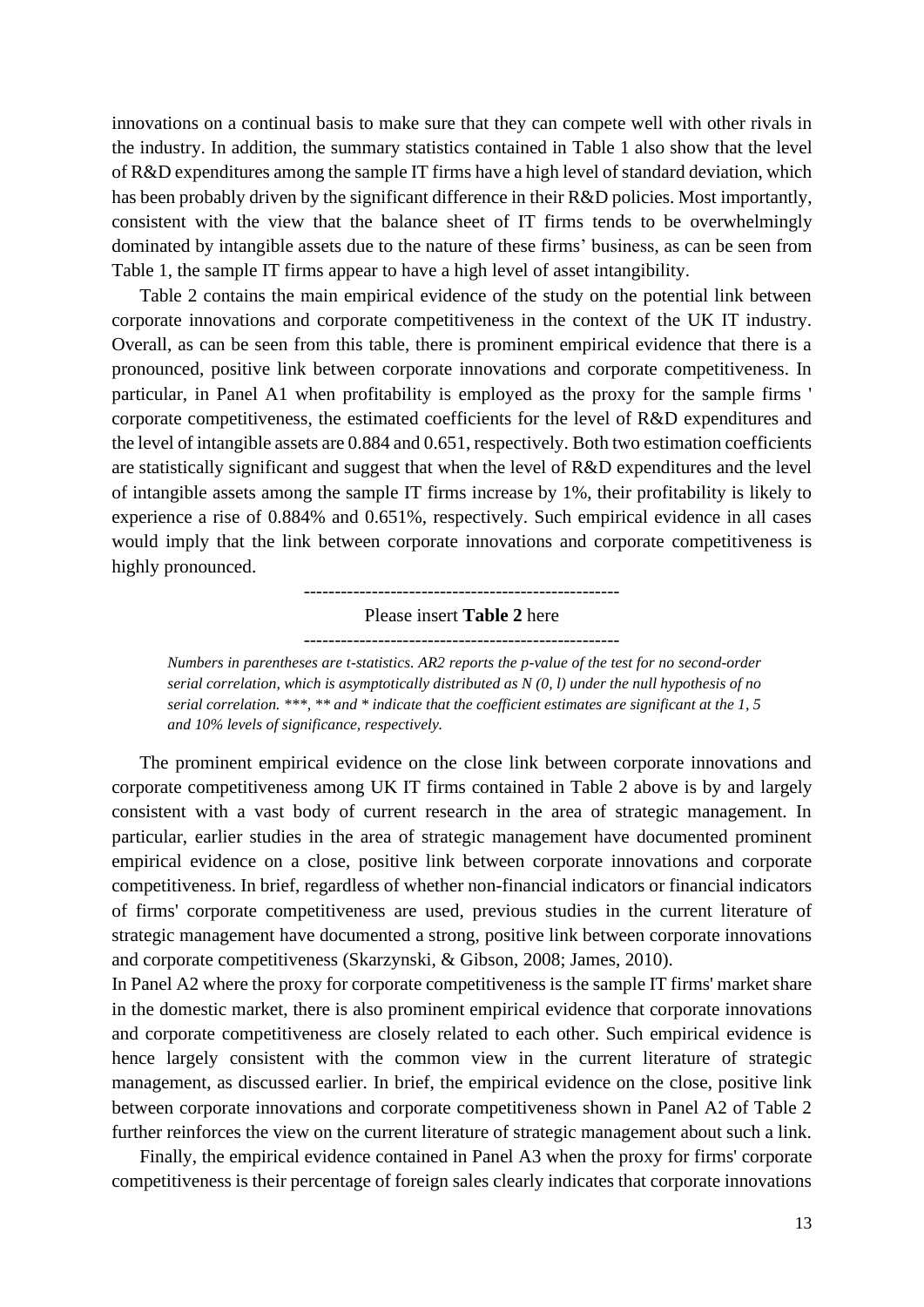innovations on a continual basis to make sure that they can compete well with other rivals in of R&D expenditures among the sample IT firms have a high level of standard deviation, which has been probably driven by the significant difference in their R&D policies. Most importantly, the industry. In addition, the summary statistics contained in Table 1 also show that the level consistent with the view that the balance sheet of IT firms tends to be overwhelmingly dominated by intangible assets due to the nature of these firms' business, as can be seen from Table 1, the sample IT firms appear to have a high level of asset intangibility.

 Table 2 contains the main empirical evidence of the study on the potential link between corporate innovations and corporate competitiveness in the context of the UK IT industry. Overall, as can be seen from this table, there is prominent empirical evidence that there is a particular, in Panel A1 when profitability is employed as the proxy for the sample firms ' the level of intangible assets are 0.884 and 0.651, respectively. Both two estimation coefficients of intangible assets among the sample IT firms increase by 1%, their profitability is likely to experience a rise of 0.884% and 0.651%, respectively. Such empirical evidence in all cases pronounced, positive link between corporate innovations and corporate competitiveness. In corporate competitiveness, the estimated coefficients for the level of R&D expenditures and are statistically significant and suggest that when the level of R&D expenditures and the level would imply that the link between corporate innovations and corporate competitiveness is highly pronounced.

--------------------------------------------------- Please insert **Table 2** here

 *Numbers in parentheses are t-statistics. AR2 reports the p-value of the test for no second-order serial correlation, which is asymptotically distributed as N (0, l) under the null hypothesis of no serial correlation. \*\*\*, \*\* and \* indicate that the coefficient estimates are significant at the 1, 5 and 10% levels of significance, respectively.* 

 The prominent empirical evidence on the close link between corporate innovations and particular, earlier studies in the area of strategic management have documented prominent empirical evidence on a close, positive link between corporate innovations and corporate of firms' corporate competitiveness are used, previous studies in the current literature of strategic management have documented a strong, positive link between corporate innovations corporate competitiveness among UK IT firms contained in Table 2 above is by and largely consistent with a vast body of current research in the area of strategic management. In competitiveness. In brief, regardless of whether non-financial indicators or financial indicators and corporate competitiveness (Skarzynski, & Gibson, 2008; James, 2010).

 In Panel A2 where the proxy for corporate competitiveness is the sample IT firms' market share further reinforces the view on the current literature of strategic management about such a link. in the domestic market, there is also prominent empirical evidence that corporate innovations and corporate competitiveness are closely related to each other. Such empirical evidence is hence largely consistent with the common view in the current literature of strategic management, as discussed earlier. In brief, the empirical evidence on the close, positive link between corporate innovations and corporate competitiveness shown in Panel A2 of Table 2

 Finally, the empirical evidence contained in Panel A3 when the proxy for firms' corporate competitiveness is their percentage of foreign sales clearly indicates that corporate innovations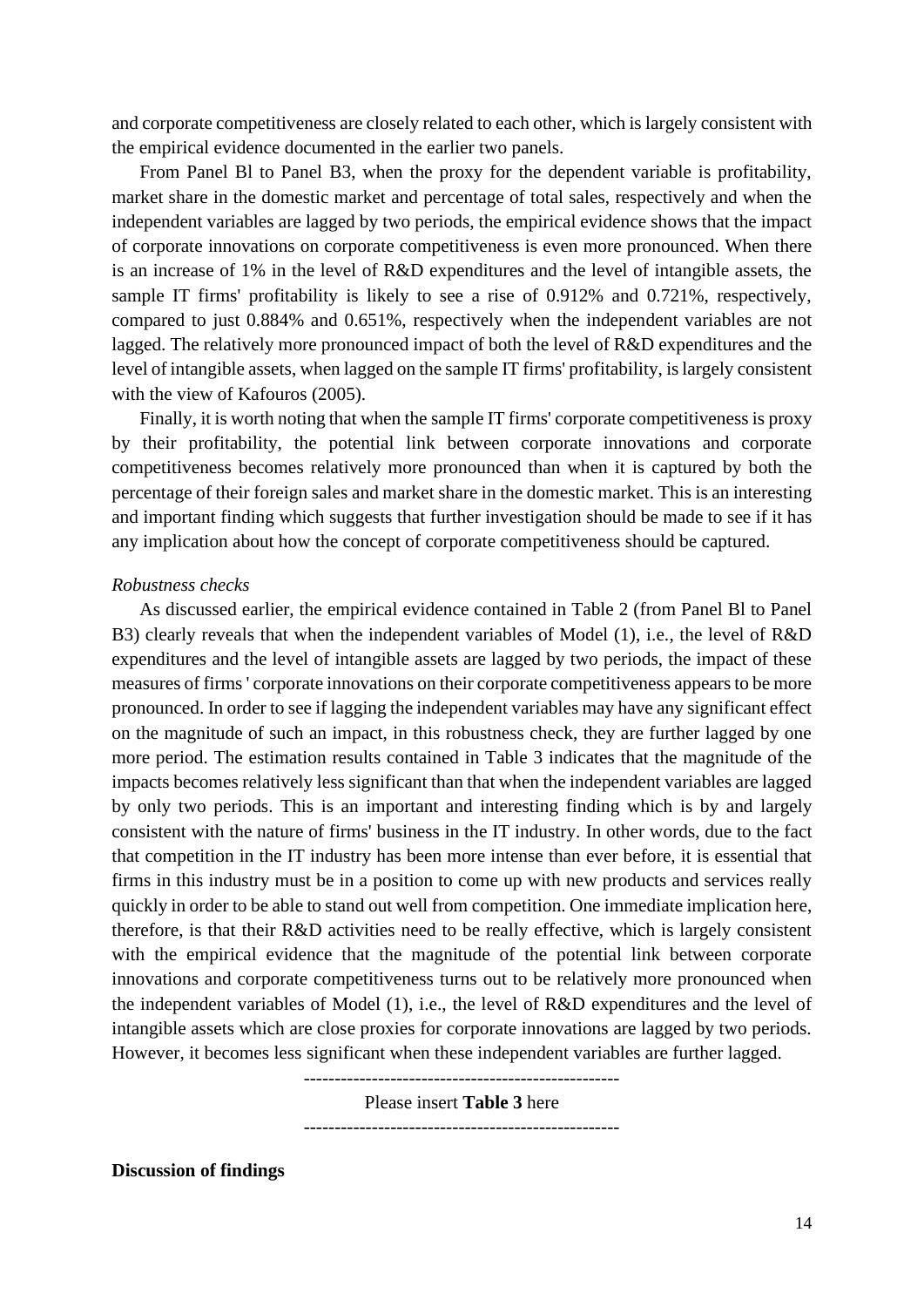and corporate competitiveness are closely related to each other, which is largely consistent with the empirical evidence documented in the earlier two panels.

 From Panel Bl to Panel B3, when the proxy for the dependent variable is profitability, market share in the domestic market and percentage of total sales, respectively and when the independent variables are lagged by two periods, the empirical evidence shows that the impact is an increase of 1% in the level of R&D expenditures and the level of intangible assets, the sample IT firms' profitability is likely to see a rise of 0.912% and 0.721%, respectively, compared to just 0.884% and 0.651%, respectively when the independent variables are not of corporate innovations on corporate competitiveness is even more pronounced. When there lagged. The relatively more pronounced impact of both the level of R&D expenditures and the level of intangible assets, when lagged on the sample IT firms' profitability, is largely consistent with the view of Kafouros (2005).

 Finally, it is worth noting that when the sample IT firms' corporate competitiveness is proxy percentage of their foreign sales and market share in the domestic market. This is an interesting and important finding which suggests that further investigation should be made to see if it has by their profitability, the potential link between corporate innovations and corporate competitiveness becomes relatively more pronounced than when it is captured by both the any implication about how the concept of corporate competitiveness should be captured.

#### *Robustness checks*

 B3) clearly reveals that when the independent variables of Model (1), i.e., the level of R&D expenditures and the level of intangible assets are lagged by two periods, the impact of these measures of firms ' corporate innovations on their corporate competitiveness appears to be more more period. The estimation results contained in Table 3 indicates that the magnitude of the impacts becomes relatively less significant than that when the independent variables are lagged that competition in the IT industry has been more intense than ever before, it is essential that firms in this industry must be in a position to come up with new products and services really quickly in order to be able to stand out well from competition. One immediate implication here, innovations and corporate competitiveness turns out to be relatively more pronounced when intangible assets which are close proxies for corporate innovations are lagged by two periods. As discussed earlier, the empirical evidence contained in Table 2 (from Panel Bl to Panel pronounced. In order to see if lagging the independent variables may have any significant effect on the magnitude of such an impact, in this robustness check, they are further lagged by one by only two periods. This is an important and interesting finding which is by and largely consistent with the nature of firms' business in the IT industry. In other words, due to the fact therefore, is that their R&D activities need to be really effective, which is largely consistent with the empirical evidence that the magnitude of the potential link between corporate the independent variables of Model (1), i.e., the level of R&D expenditures and the level of However, it becomes less significant when these independent variables are further lagged.

---------------------------------------------------

--------------------------------------------------- Please insert **Table 3** here

**Discussion of findings**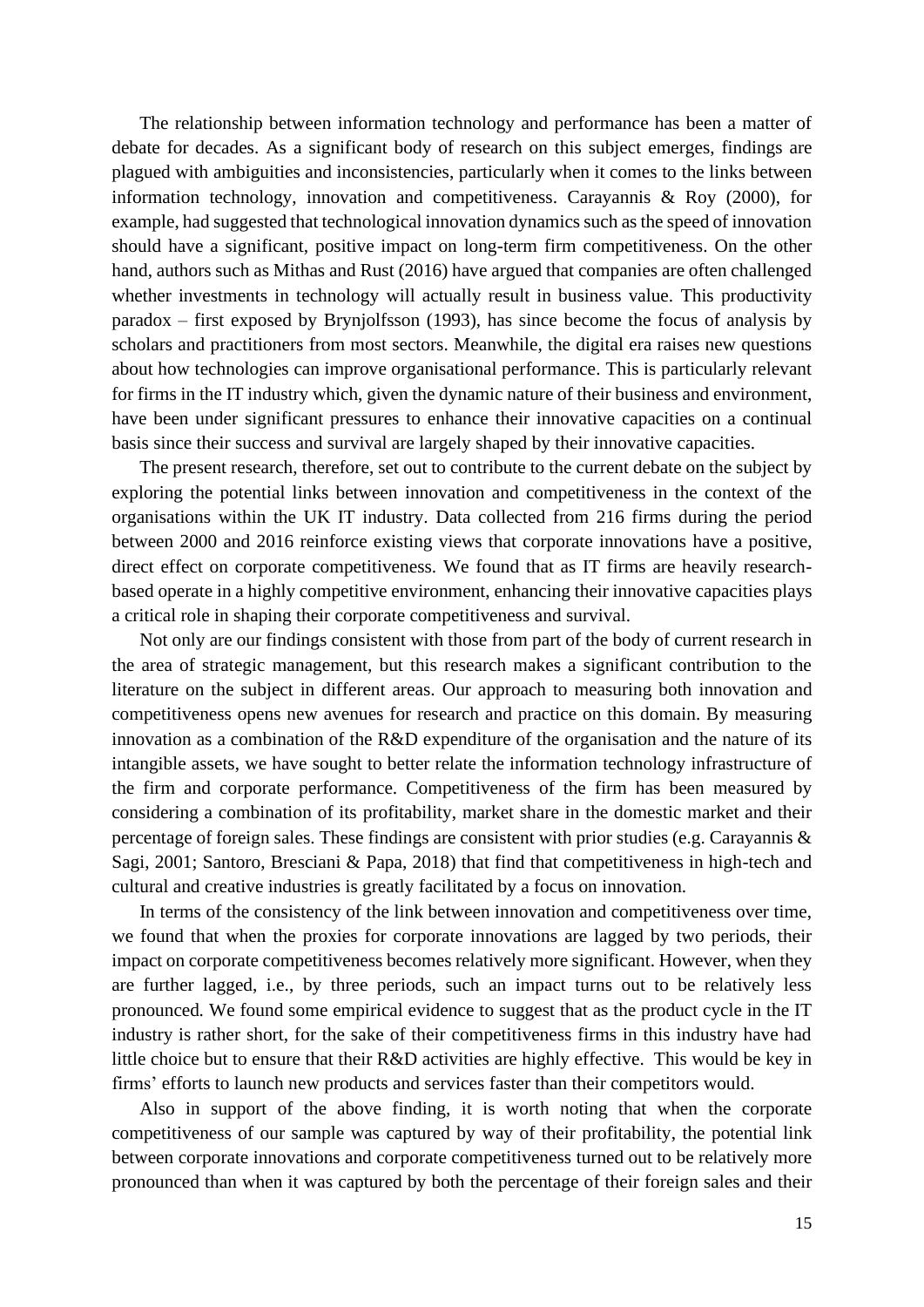The relationship between information technology and performance has been a matter of example, had suggested that technological innovation dynamics such as the speed of innovation should have a significant, positive impact on long-term firm competitiveness. On the other for firms in the IT industry which, given the dynamic nature of their business and environment, have been under significant pressures to enhance their innovative capacities on a continual debate for decades. As a significant body of research on this subject emerges, findings are plagued with ambiguities and inconsistencies, particularly when it comes to the links between information technology, innovation and competitiveness. Carayannis & Roy (2000), for hand, authors such as Mithas and Rust (2016) have argued that companies are often challenged whether investments in technology will actually result in business value. This productivity paradox – first exposed by Brynjolfsson (1993), has since become the focus of analysis by scholars and practitioners from most sectors. Meanwhile, the digital era raises new questions about how technologies can improve organisational performance. This is particularly relevant basis since their success and survival are largely shaped by their innovative capacities.

 The present research, therefore, set out to contribute to the current debate on the subject by organisations within the UK IT industry. Data collected from 216 firms during the period between 2000 and 2016 reinforce existing views that corporate innovations have a positive, based operate in a highly competitive environment, enhancing their innovative capacities plays exploring the potential links between innovation and competitiveness in the context of the direct effect on corporate competitiveness. We found that as IT firms are heavily researcha critical role in shaping their corporate competitiveness and survival.

 intangible assets, we have sought to better relate the information technology infrastructure of percentage of foreign sales. These findings are consistent with prior studies (e.g. Carayannis & Not only are our findings consistent with those from part of the body of current research in the area of strategic management, but this research makes a significant contribution to the literature on the subject in different areas. Our approach to measuring both innovation and competitiveness opens new avenues for research and practice on this domain. By measuring innovation as a combination of the R&D expenditure of the organisation and the nature of its the firm and corporate performance. Competitiveness of the firm has been measured by considering a combination of its profitability, market share in the domestic market and their Sagi, 2001; Santoro, Bresciani & Papa, 2018) that find that competitiveness in high-tech and cultural and creative industries is greatly facilitated by a focus on innovation.

 In terms of the consistency of the link between innovation and competitiveness over time, we found that when the proxies for corporate innovations are lagged by two periods, their are further lagged, i.e., by three periods, such an impact turns out to be relatively less pronounced*.* We found some empirical evidence to suggest that as the product cycle in the IT industry is rather short, for the sake of their competitiveness firms in this industry have had little choice but to ensure that their R&D activities are highly effective. This would be key in impact on corporate competitiveness becomes relatively more significant. However, when they firms' efforts to launch new products and services faster than their competitors would.

 Also in support of the above finding, it is worth noting that when the corporate pronounced than when it was captured by both the percentage of their foreign sales and their competitiveness of our sample was captured by way of their profitability, the potential link between corporate innovations and corporate competitiveness turned out to be relatively more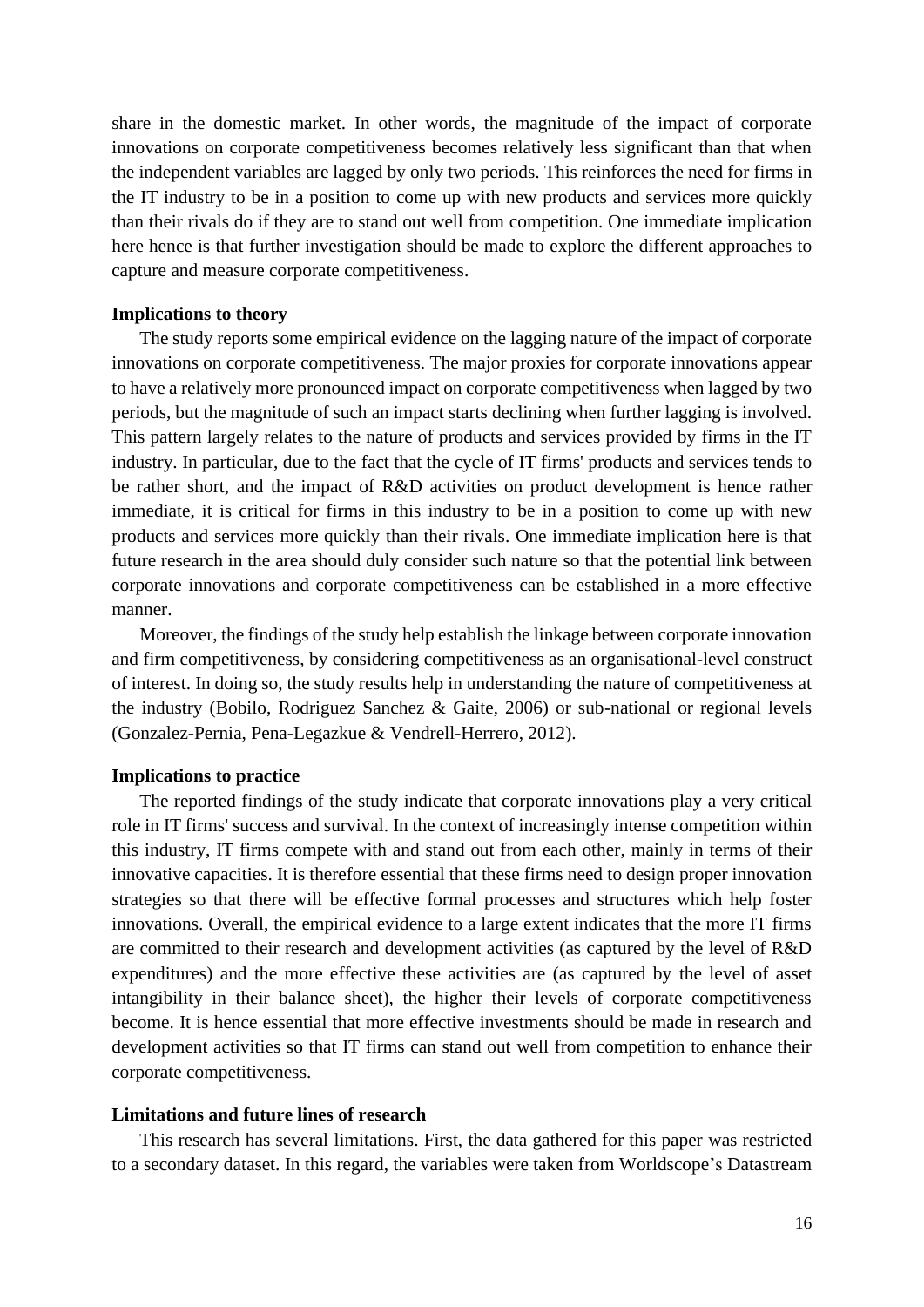the independent variables are lagged by only two periods. This reinforces the need for firms in the IT industry to be in a position to come up with new products and services more quickly than their rivals do if they are to stand out well from competition. One immediate implication here hence is that further investigation should be made to explore the different approaches to share in the domestic market. In other words, the magnitude of the impact of corporate innovations on corporate competitiveness becomes relatively less significant than that when capture and measure corporate competitiveness.

# **Implications to theory**

 The study reports some empirical evidence on the lagging nature of the impact of corporate innovations on corporate competitiveness. The major proxies for corporate innovations appear to have a relatively more pronounced impact on corporate competitiveness when lagged by two be rather short, and the impact of R&D activities on product development is hence rather immediate, it is critical for firms in this industry to be in a position to come up with new products and services more quickly than their rivals. One immediate implication here is that corporate innovations and corporate competitiveness can be established in a more effective periods, but the magnitude of such an impact starts declining when further lagging is involved. This pattern largely relates to the nature of products and services provided by firms in the IT industry. In particular, due to the fact that the cycle of IT firms' products and services tends to future research in the area should duly consider such nature so that the potential link between manner.

 Moreover, the findings of the study help establish the linkage between corporate innovation the industry (Bobilo, Rodriguez Sanchez & Gaite, 2006) or sub-national or regional levels and firm competitiveness, by considering competitiveness as an organisational-level construct of interest. In doing so, the study results help in understanding the nature of competitiveness at (Gonzalez-Pernia, Pena-Legazkue & Vendrell-Herrero, 2012).

# **Implications to practice**

 innovative capacities. It is therefore essential that these firms need to design proper innovation strategies so that there will be effective formal processes and structures which help foster innovations. Overall, the empirical evidence to a large extent indicates that the more IT firms expenditures) and the more effective these activities are (as captured by the level of asset intangibility in their balance sheet), the higher their levels of corporate competitiveness become. It is hence essential that more effective investments should be made in research and development activities so that IT firms can stand out well from competition to enhance their The reported findings of the study indicate that corporate innovations play a very critical role in IT firms' success and survival. In the context of increasingly intense competition within this industry, IT firms compete with and stand out from each other, mainly in terms of their are committed to their research and development activities (as captured by the level of R&D corporate competitiveness.

# **Limitations and future lines of research**

This research has several limitations. First, the data gathered for this paper was restricted to a secondary dataset. In this regard, the variables were taken from Worldscope's Datastream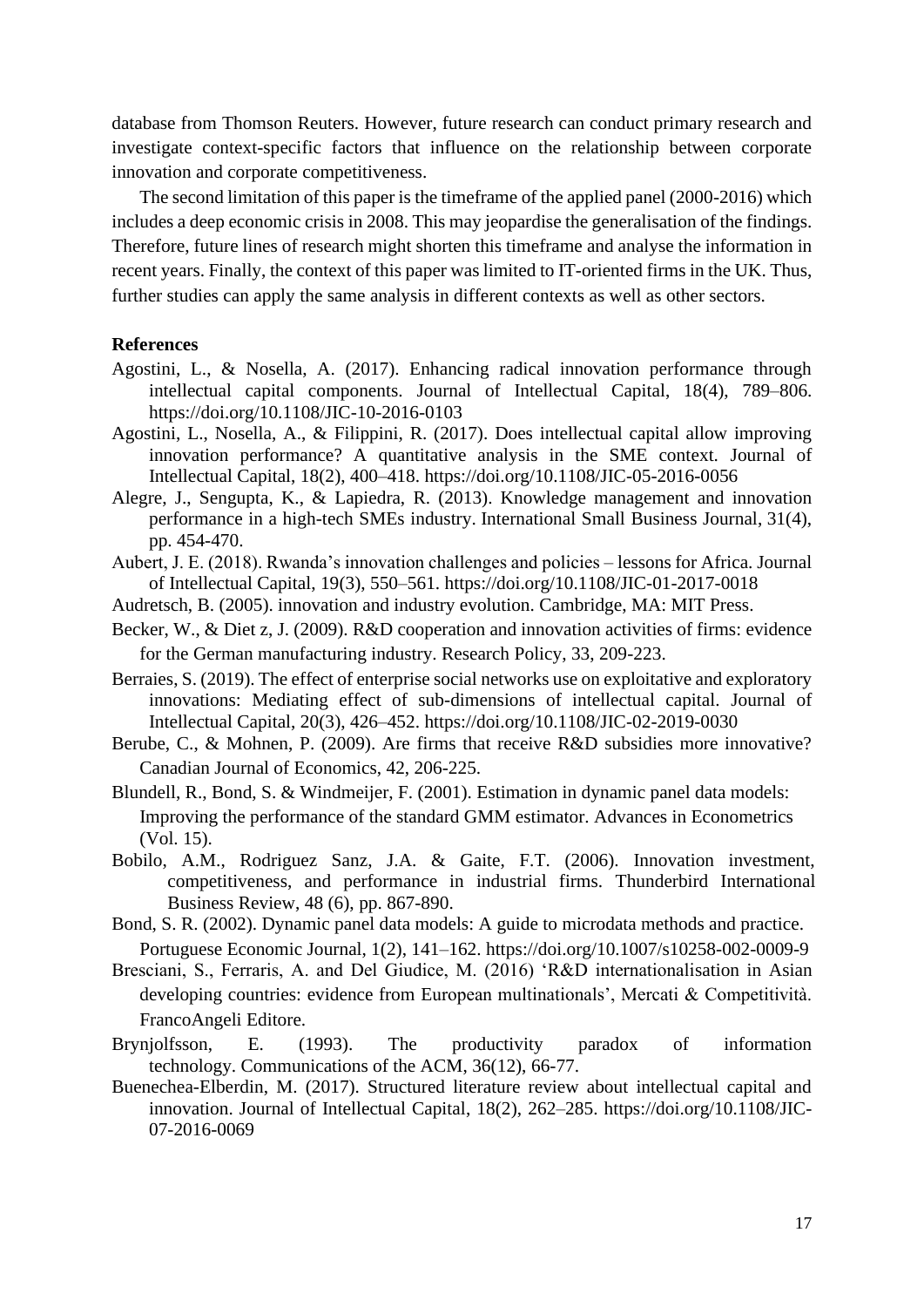database from Thomson Reuters. However, future research can conduct primary research and investigate context-specific factors that influence on the relationship between corporate innovation and corporate competitiveness.

 The second limitation of this paper is the timeframe of the applied panel (2000-2016) which includes a deep economic crisis in 2008. This may jeopardise the generalisation of the findings. Therefore, future lines of research might shorten this timeframe and analyse the information in recent years. Finally, the context of this paper was limited to IT-oriented firms in the UK. Thus, further studies can apply the same analysis in different contexts as well as other sectors.

# **References**

- Agostini, L., & Nosella, A. (2017). Enhancing radical innovation performance through intellectual capital components. Journal of Intellectual Capital, 18(4), 789–806. https://doi.org/10.1108/JIC-10-2016-0103
- innovation performance? A quantitative analysis in the SME context. Journal of Agostini, L., Nosella, A., & Filippini, R. (2017). Does intellectual capital allow improving Intellectual Capital, 18(2), 400–418.<https://doi.org/10.1108/JIC-05-2016-0056>
- performance in a high-tech SMEs industry. International Small Business Journal, 31(4), Alegre, J., Sengupta, K., & Lapiedra, R. (2013). Knowledge management and innovation pp. 454-470.
- Aubert, J. E. (2018). Rwanda's innovation challenges and policies lessons for Africa. Journal of Intellectual Capital, 19(3), 550–561. https://doi.org/10.1108/JIC-01-2017-0018
- Audretsch, B. (2005). innovation and industry evolution. Cambridge, MA: MIT Press.
- Becker, W., & Diet z, J. (2009). R&D cooperation and innovation activities of firms: evidence for the German manufacturing industry. Research Policy, 33, 209-223.
- Berraies, S. (2019). The effect of enterprise social networks use on exploitative and exploratory innovations: Mediating effect of sub-dimensions of intellectual capital. Journal of Intellectual Capital, 20(3), 426–452. https://doi.org/10.1108/JIC-02-2019-0030
- Berube, C., & Mohnen, P. (2009). Are firms that receive R&D subsidies more innovative? Canadian Journal of Economics, 42, 206-225.
- Blundell, R., Bond, S. & Windmeijer, F. (2001). Estimation in dynamic panel data models: Improving the performance of the standard GMM estimator. Advances in Econometrics (Vol. 15).
- Bobilo, A.M., Rodriguez Sanz, J.A. & Gaite, F.T. (2006). Innovation investment, competitiveness, and performance in industrial firms. Thunderbird International Business Review, 48 (6), pp. 867-890.
- Bond, S. R. (2002). Dynamic panel data models: A guide to microdata methods and practice. Portuguese Economic Journal, 1(2), 141–162. https://doi.org/10.1007/s10258-002-0009-9
- Bresciani, S., Ferraris, A. and Del Giudice, M. (2016) 'R&D internationalisation in Asian developing countries: evidence from European multinationals', Mercati & Competitività. FrancoAngeli Editore.
- Brynjolfsson, E. (1993). The productivity paradox of information technology. Communications of the ACM, 36(12), 66-77.
- Buenechea-Elberdin, M. (2017). Structured literature review about intellectual capital and innovation. Journal of Intellectual Capital, 18(2), 262–285. https://doi.org/10.1108/JIC-07-2016-0069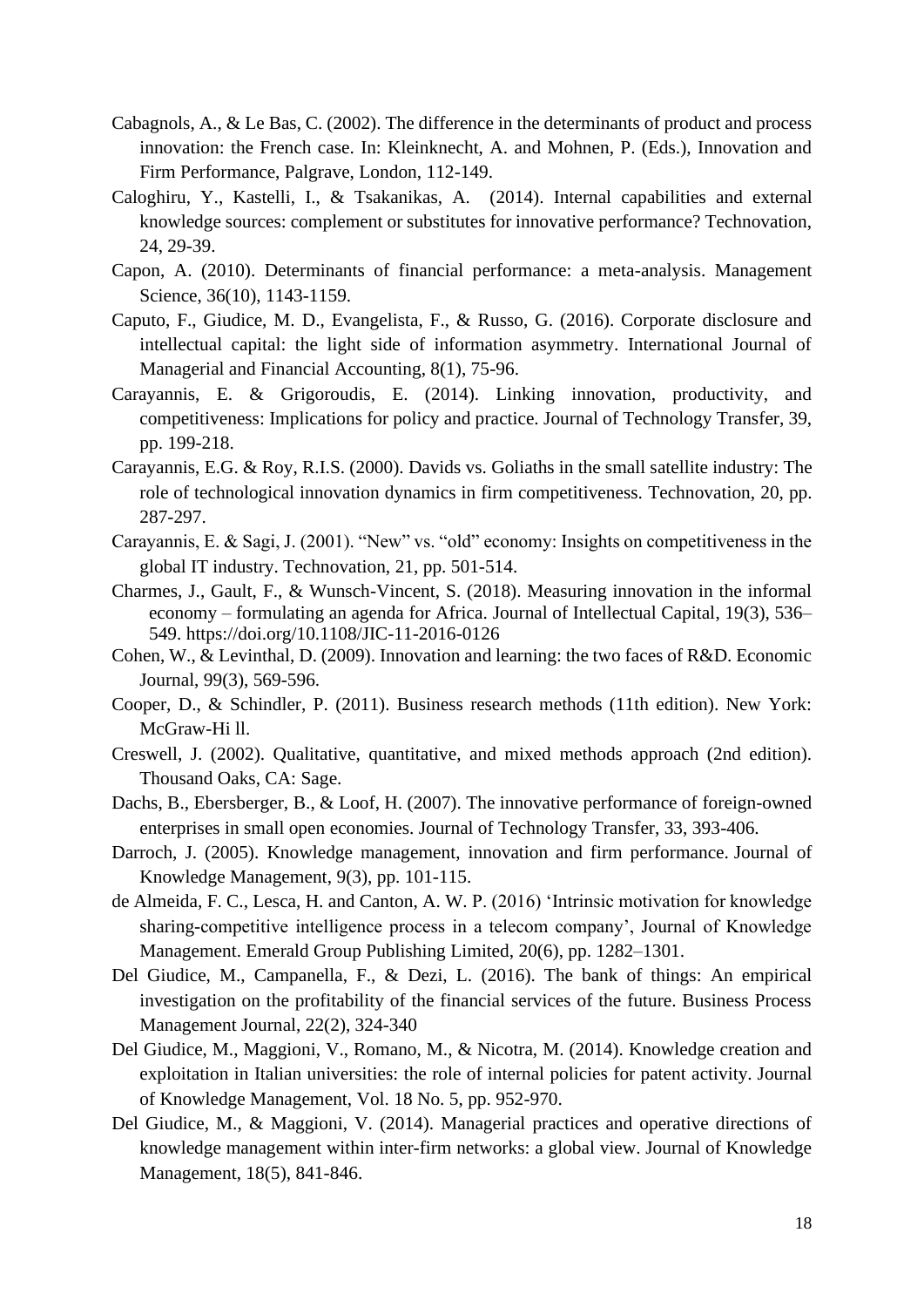- Cabagnols, A., & Le Bas, C. (2002). The difference in the determinants of product and process innovation: the French case. In: Kleinknecht, A. and Mohnen, P. (Eds.), Innovation and Firm Performance, Palgrave, London, 112-149.
- Caloghiru, Y., Kastelli, I., & Tsakanikas, A. (2014). Internal capabilities and external knowledge sources: complement or substitutes for innovative performance? Technovation, 24, 29-39.
- Capon, A. (2010). Determinants of financial performance: a meta-analysis. Management Science, 36(10), 1143-1159.
- Caputo, F., Giudice, M. D., Evangelista, F., & Russo, G. (2016). Corporate disclosure and intellectual capital: the light side of information asymmetry. International Journal of Managerial and Financial Accounting, 8(1), 75-96.
- Carayannis, E. & Grigoroudis, E. (2014). Linking innovation, productivity, and competitiveness: Implications for policy and practice. Journal of Technology Transfer, 39, pp. 199-218.
- Carayannis, E.G. & Roy, R.I.S. (2000). Davids vs. Goliaths in the small satellite industry: The role of technological innovation dynamics in firm competitiveness. Technovation, 20, pp. 287-297.
- Carayannis, E. & Sagi, J. (2001). "New" vs. "old" economy: Insights on competitiveness in the global IT industry. Technovation, 21, pp. 501-514.
- economy formulating an agenda for Africa. Journal of Intellectual Capital, 19(3), 536– Charmes, J., Gault, F., & Wunsch-Vincent, S. (2018). Measuring innovation in the informal 549. https://doi.org/10.1108/JIC-11-2016-0126
- Cohen, W., & Levinthal, D. (2009). Innovation and learning: the two faces of R&D. Economic Journal, 99(3), 569-596.
- Cooper, D., & Schindler, P. (2011). Business research methods (11th edition). New York: McGraw-Hi ll.
- Creswell, J. (2002). Qualitative, quantitative, and mixed methods approach (2nd edition). Thousand Oaks, CA: Sage.
- Dachs, B., Ebersberger, B., & Loof, H. (2007). The innovative performance of foreign-owned enterprises in small open economies. Journal of Technology Transfer, 33, 393-406.
- Darroch, J. (2005). Knowledge management, innovation and firm performance. Journal of Knowledge Management, 9(3), pp. 101-115.
- de Almeida, F. C., Lesca, H. and Canton, A. W. P. (2016) 'Intrinsic motivation for knowledge sharing-competitive intelligence process in a telecom company', Journal of Knowledge Management. Emerald Group Publishing Limited, 20(6), pp. 1282–1301.
- Del Giudice, M., Campanella, F., & Dezi, L. (2016). The bank of things: An empirical investigation on the profitability of the financial services of the future. Business Process Management Journal, 22(2), 324-340
- Del Giudice, M., Maggioni, V., Romano, M., & Nicotra, M. (2014). Knowledge creation and exploitation in Italian universities: the role of internal policies for patent activity. Journal of Knowledge Management, Vol. 18 No. 5, pp. 952-970.
- Del Giudice, M., & Maggioni, V. (2014). Managerial practices and operative directions of knowledge management within inter-firm networks: a global view. Journal of Knowledge Management, 18(5), 841-846.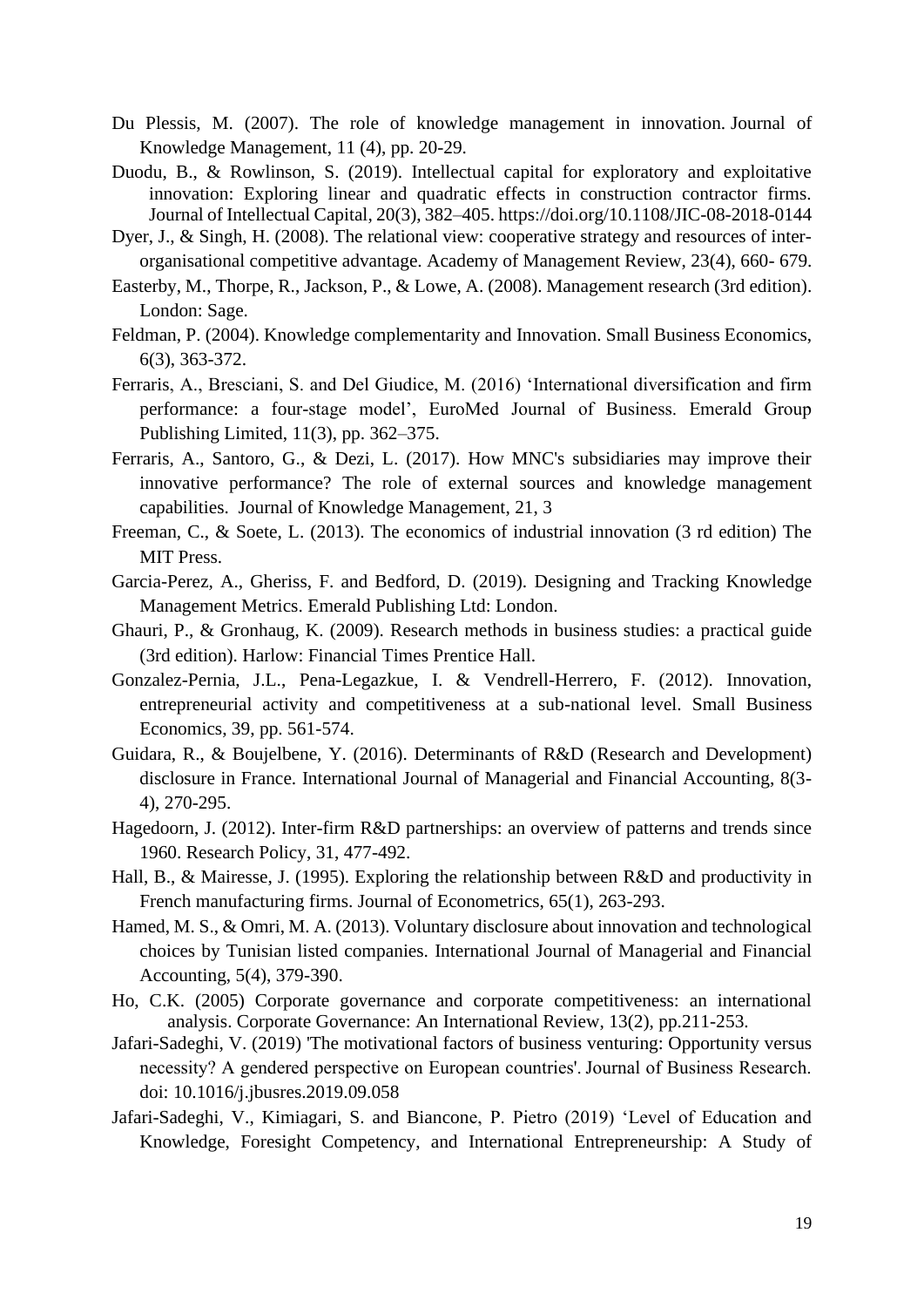- Du Plessis, M. (2007). The role of knowledge management in innovation. Journal of Knowledge Management, 11 (4), pp. 20-29.
- Duodu, B., & Rowlinson, S. (2019). Intellectual capital for exploratory and exploitative innovation: Exploring linear and quadratic effects in construction contractor firms. Journal of Intellectual Capital, 20(3), 382–405. https://doi.org/10.1108/JIC-08-2018-0144
- Dyer, J., & Singh, H. (2008). The relational view: cooperative strategy and resources of interorganisational competitive advantage. Academy of Management Review, 23(4), 660- 679.
- Easterby, M., Thorpe, R., Jackson, P., & Lowe, A. (2008). Management research (3rd edition). London: Sage.
- Feldman, P. (2004). Knowledge complementarity and Innovation. Small Business Economics, 6(3), 363-372.
- Ferraris, A., Bresciani, S. and Del Giudice, M. (2016) 'International diversification and firm performance: a four-stage model', EuroMed Journal of Business. Emerald Group Publishing Limited, 11(3), pp. 362–375.
- Ferraris, A., Santoro, G., & Dezi, L. (2017). How MNC's subsidiaries may improve their innovative performance? The role of external sources and knowledge management capabilities. Journal of Knowledge Management, 21, 3
- Freeman, C., & Soete, L. (2013). The economics of industrial innovation (3 rd edition) The MIT Press.
- Garcia-Perez, A., Gheriss, F. and Bedford, D. (2019). Designing and Tracking Knowledge Management Metrics. Emerald Publishing Ltd: London.
- Ghauri, P., & Gronhaug, K. (2009). Research methods in business studies: a practical guide (3rd edition). Harlow: Financial Times Prentice Hall.
- entrepreneurial activity and competitiveness at a sub-national level. Small Business Gonzalez-Pernia, J.L., Pena-Legazkue, I. & Vendrell-Herrero, F. (2012). Innovation, Economics, 39, pp. 561-574.
- Guidara, R., & Boujelbene, Y. (2016). Determinants of R&D (Research and Development) disclosure in France. International Journal of Managerial and Financial Accounting, 8(3- 4), 270-295.
- Hagedoorn, J. (2012). Inter-firm R&D partnerships: an overview of patterns and trends since 1960. Research Policy, 31, 477-492.
- Hall, B., & Mairesse, J. (1995). Exploring the relationship between R&D and productivity in French manufacturing firms. Journal of Econometrics, 65(1), 263-293.
- Hamed, M. S., & Omri, M. A. (2013). Voluntary disclosure about innovation and technological choices by Tunisian listed companies. International Journal of Managerial and Financial Accounting, 5(4), 379-390.
- Ho, C.K. (2005) Corporate governance and corporate competitiveness: an international analysis. Corporate Governance: An International Review, 13(2), pp.211-253.
- Jafari-Sadeghi, V. (2019) 'The motivational factors of business venturing: Opportunity versus necessity? A gendered perspective on European countries'. Journal of Business Research. doi: 10.1016/j.jbusres.2019.09.058
- Jafari-Sadeghi, V., Kimiagari, S. and Biancone, P. Pietro (2019) 'Level of Education and Knowledge, Foresight Competency, and International Entrepreneurship: A Study of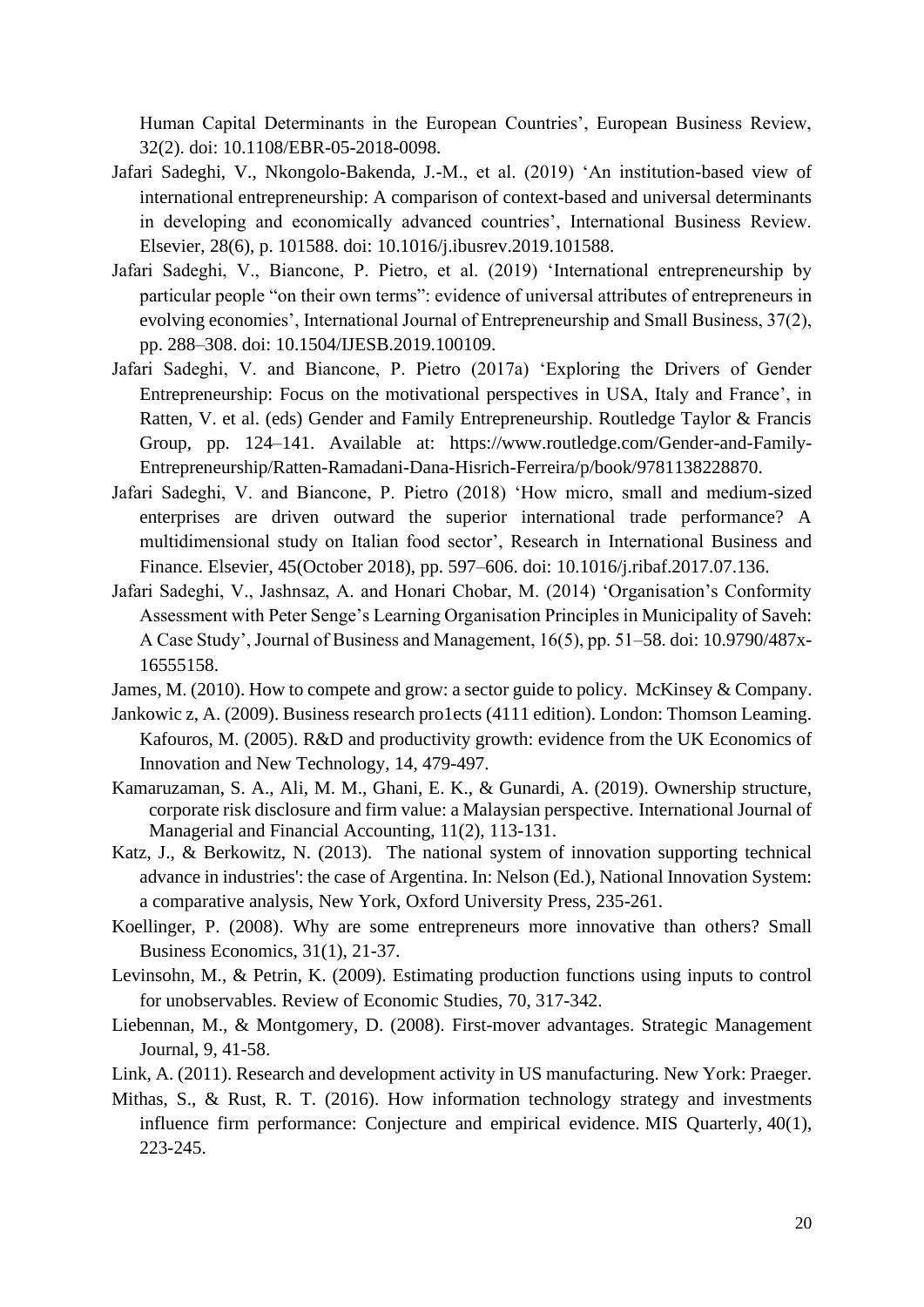Human Capital Determinants in the European Countries', European Business Review, 32(2). doi: 10.1108/EBR-05-2018-0098.

- Jafari Sadeghi, V., Nkongolo-Bakenda, J.-M., et al. (2019) 'An institution-based view of international entrepreneurship: A comparison of context-based and universal determinants in developing and economically advanced countries', International Business Review. Elsevier, 28(6), p. 101588. doi: 10.1016/j.ibusrev.2019.101588.
- Jafari Sadeghi, V., Biancone, P. Pietro, et al. (2019) 'International entrepreneurship by particular people "on their own terms": evidence of universal attributes of entrepreneurs in evolving economies', International Journal of Entrepreneurship and Small Business, 37(2), pp. 288–308. doi: 10.1504/IJESB.2019.100109.
- Jafari Sadeghi, V. and Biancone, P. Pietro (2017a) 'Exploring the Drivers of Gender Entrepreneurship: Focus on the motivational perspectives in USA, Italy and France', in Ratten, V. et al. (eds) Gender and Family Entrepreneurship. Routledge Taylor & Francis Group, pp. 124–141. Available at: https://www.routledge.com/Gender-and-Family-Entrepreneurship/Ratten-Ramadani-Dana-Hisrich-Ferreira/p/book/9781138228870.
- enterprises are driven outward the superior international trade performance? A Jafari Sadeghi, V. and Biancone, P. Pietro (2018) 'How micro, small and medium-sized multidimensional study on Italian food sector', Research in International Business and Finance. Elsevier, 45(October 2018), pp. 597–606. doi: 10.1016/j.ribaf.2017.07.136.
- Jafari Sadeghi, V., Jashnsaz, A. and Honari Chobar, M. (2014) 'Organisation's Conformity Assessment with Peter Senge's Learning Organisation Principles in Municipality of Saveh: A Case Study', Journal of Business and Management, 16(5), pp. 51–58. doi: 10.9790/487x-16555158.
- James, M. (2010). How to compete and grow: a sector guide to policy. McKinsey & Company.
- Jankowic z, A. (2009). Business research pro1ects (4111 edition). London: Thomson Leaming. Kafouros, M. (2005). R&D and productivity growth: evidence from the UK Economics of Innovation and New Technology, 14, 479-497.
- Kamaruzaman, S. A., Ali, M. M., Ghani, E. K., & Gunardi, A. (2019). Ownership structure, corporate risk disclosure and firm value: a Malaysian perspective. International Journal of Managerial and Financial Accounting, 11(2), 113-131.
- advance in industries': the case of Argentina. In: Nelson (Ed.), National Innovation System: Katz, J., & Berkowitz, N. (2013). The national system of innovation supporting technical a comparative analysis, New York, Oxford University Press, 235-261.
- Koellinger, P. (2008). Why are some entrepreneurs more innovative than others? Small Business Economics, 31(1), 21-37.
- Levinsohn, M., & Petrin, K. (2009). Estimating production functions using inputs to control for unobservables. Review of Economic Studies, 70, 317-342.
- Liebennan, M., & Montgomery, D. (2008). First-mover advantages. Strategic Management Journal, 9, 41-58.
- Link, A. (2011). Research and development activity in US manufacturing. New York: Praeger.
- Mithas, S., & Rust, R. T. (2016). How information technology strategy and investments influence firm performance: Conjecture and empirical evidence. MIS Quarterly, 40(1), 223-245.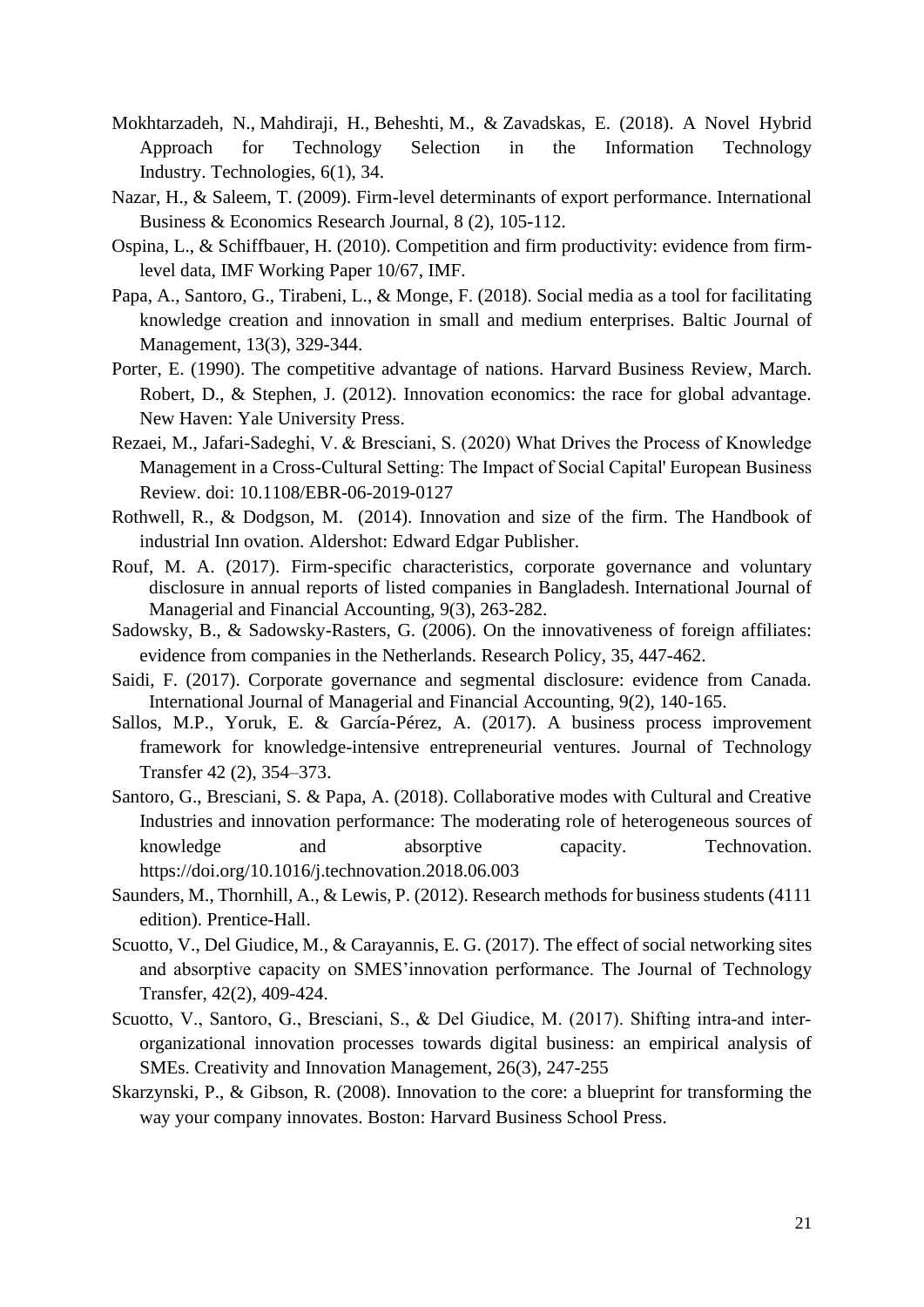- Mokhtarzadeh, N., Mahdiraji, H., Beheshti, M., & Zavadskas, E. (2018). A Novel Hybrid Approach for Technology Selection in the Information Technology Industry. Technologies, 6(1), 34.
- Nazar, H., & Saleem, T. (2009). Firm-level determinants of export performance. International Business & Economics Research Journal, 8 (2), 105-112.
- Ospina, L., & Schiffbauer, H. (2010). Competition and firm productivity: evidence from firmlevel data, IMF Working Paper 10/67, IMF.
- Papa, A., Santoro, G., Tirabeni, L., & Monge, F. (2018). Social media as a tool for facilitating knowledge creation and innovation in small and medium enterprises. Baltic Journal of Management, 13(3), 329-344.
- Robert, D., & Stephen, J. (2012). Innovation economics: the race for global advantage. Porter, E. (1990). The competitive advantage of nations. Harvard Business Review, March. New Haven: Yale University Press.
- Management in a Cross-Cultural Setting: The Impact of Social Capital' European Business Rezaei, M., Jafari-Sadeghi, V. & Bresciani, S. (2020) What Drives the Process of Knowledge Review. doi: 10.1108/EBR-06-2019-0127
- Rothwell, R., & Dodgson, M. (2014). Innovation and size of the firm. The Handbook of industrial Inn ovation. Aldershot: Edward Edgar Publisher.
- Rouf, M. A. (2017). Firm-specific characteristics, corporate governance and voluntary disclosure in annual reports of listed companies in Bangladesh. International Journal of Managerial and Financial Accounting, 9(3), 263-282.
- Sadowsky, B., & Sadowsky-Rasters, G. (2006). On the innovativeness of foreign affiliates: evidence from companies in the Netherlands. Research Policy, 35, 447-462.
- Saidi, F. (2017). Corporate governance and segmental disclosure: evidence from Canada. International Journal of Managerial and Financial Accounting, 9(2), 140-165.
- Sallos, M.P., Yoruk, E. & García-Pérez, A. (2017). A business process improvement framework for knowledge-intensive entrepreneurial ventures. Journal of Technology Transfer 42 (2), 354–373.
- Santoro, G., Bresciani, S. & Papa, A. (2018). Collaborative modes with Cultural and Creative Industries and innovation performance: The moderating role of heterogeneous sources of knowledge and absorptive capacity. Technovation. <https://doi.org/10.1016/j.technovation.2018.06.003>
- Saunders, M., Thornhill, A., & Lewis, P. (2012). Research methods for business students (4111 edition). Prentice-Hall.
- Scuotto, V., Del Giudice, M., & Carayannis, E. G. (2017). The effect of social networking sites and absorptive capacity on SMES'innovation performance. The Journal of Technology Transfer, 42(2), 409-424.
- Scuotto, V., Santoro, G., Bresciani, S., & Del Giudice, M. (2017). Shifting intra-and interorganizational innovation processes towards digital business: an empirical analysis of SMEs. Creativity and Innovation Management, 26(3), 247-255
- Skarzynski, P., & Gibson, R. (2008). Innovation to the core: a blueprint for transforming the way your company innovates. Boston: Harvard Business School Press.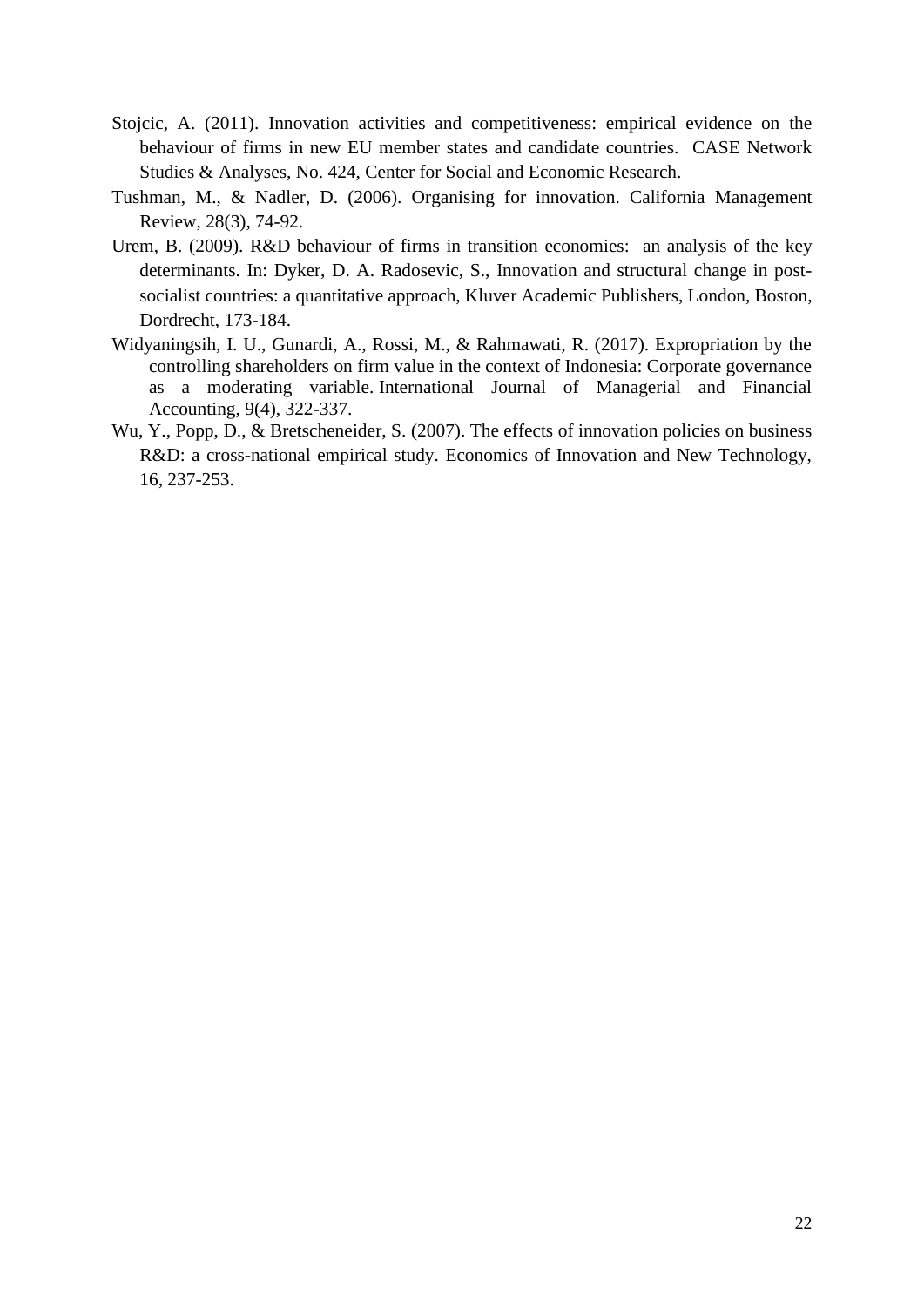- Stojcic, A. (2011). Innovation activities and competitiveness: empirical evidence on the behaviour of firms in new EU member states and candidate countries. CASE Network Studies & Analyses, No. 424, Center for Social and Economic Research.
- Tushman, M., & Nadler, D. (2006). Organising for innovation. California Management Review, 28(3), 74-92.
- determinants. In: Dyker, D. A. Radosevic, S., Innovation and structural change in post-Urem, B. (2009). R&D behaviour of firms in transition economies: an analysis of the key socialist countries: a quantitative approach, Kluver Academic Publishers, London, Boston, Dordrecht, 173-184.
- Widyaningsih, I. U., Gunardi, A., Rossi, M., & Rahmawati, R. (2017). Expropriation by the controlling shareholders on firm value in the context of Indonesia: Corporate governance as a moderating variable. International Journal of Managerial and Financial Accounting, 9(4), 322-337.
- Wu, Y., Popp, D., & Bretscheneider, S. (2007). The effects of innovation policies on business R&D: a cross-national empirical study. Economics of Innovation and New Technology, 16, 237-253.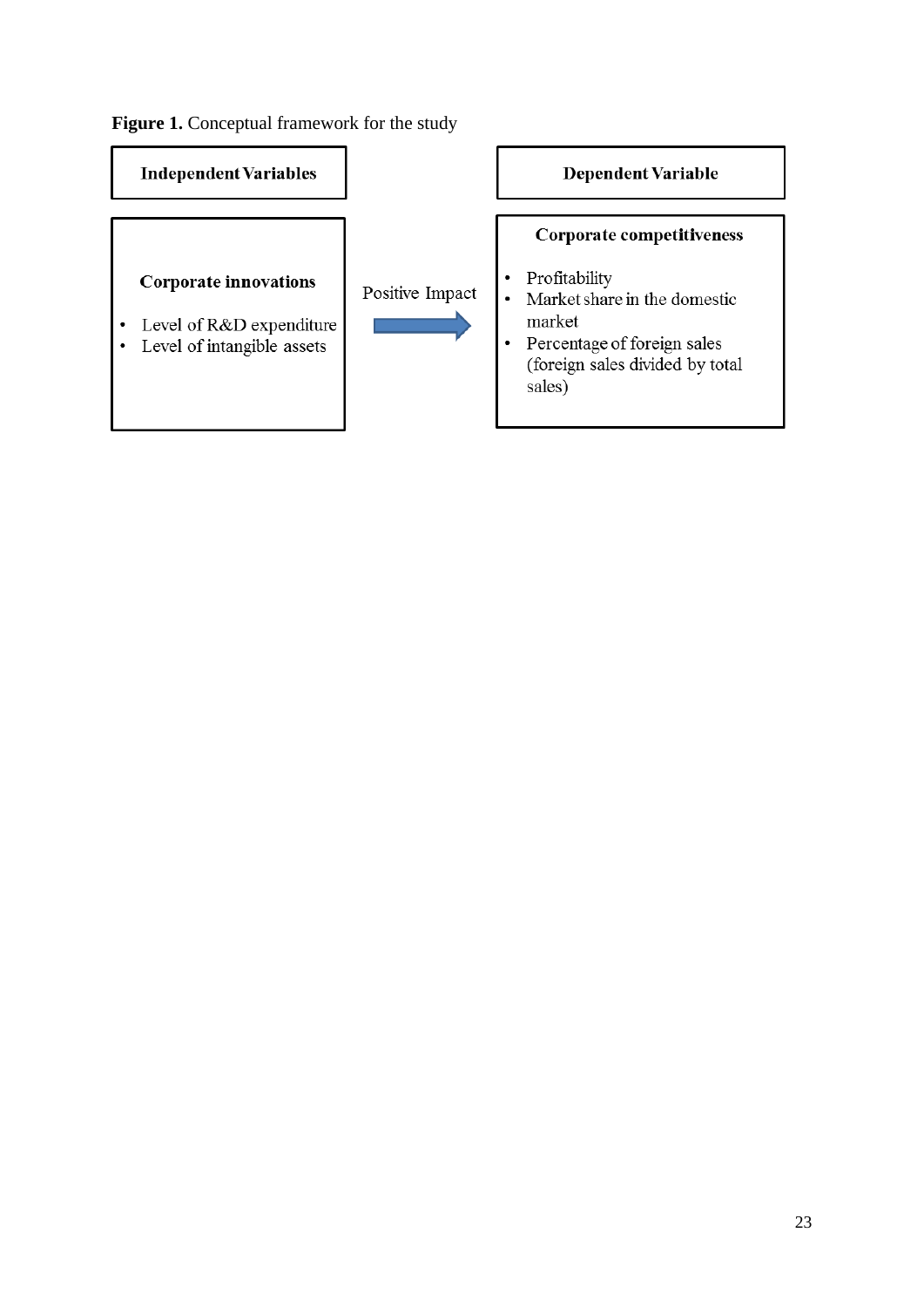Figure 1. Conceptual framework for the study

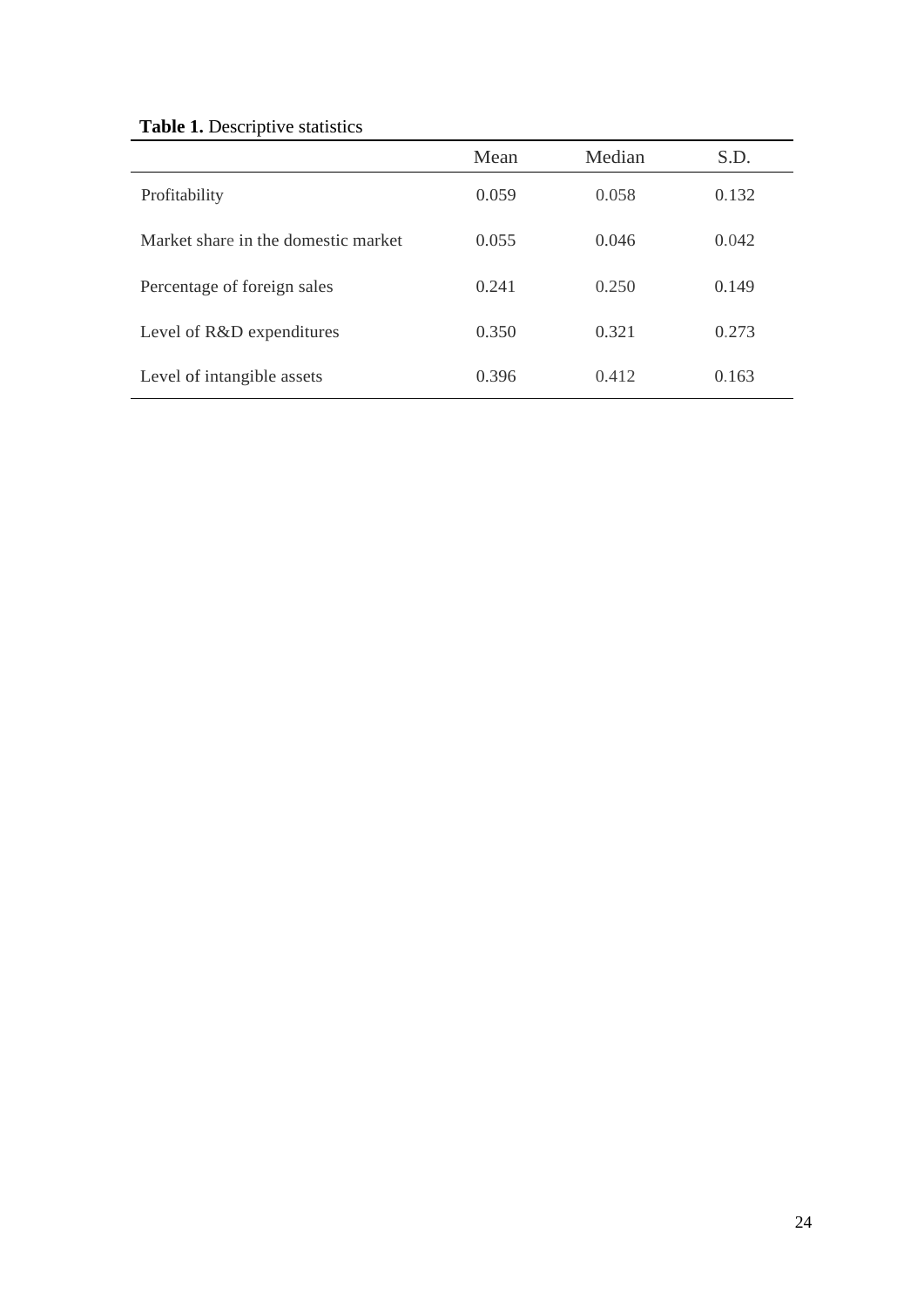| <b>Table 1.</b> Descriptive statistics |
|----------------------------------------|
|----------------------------------------|

| Mean  | Median | S.D.  |
|-------|--------|-------|
| 0.059 | 0.058  | 0.132 |
| 0.055 | 0.046  | 0.042 |
| 0.241 | 0.250  | 0.149 |
| 0.350 | 0.321  | 0.273 |
| 0.396 | 0.412  | 0.163 |
|       |        |       |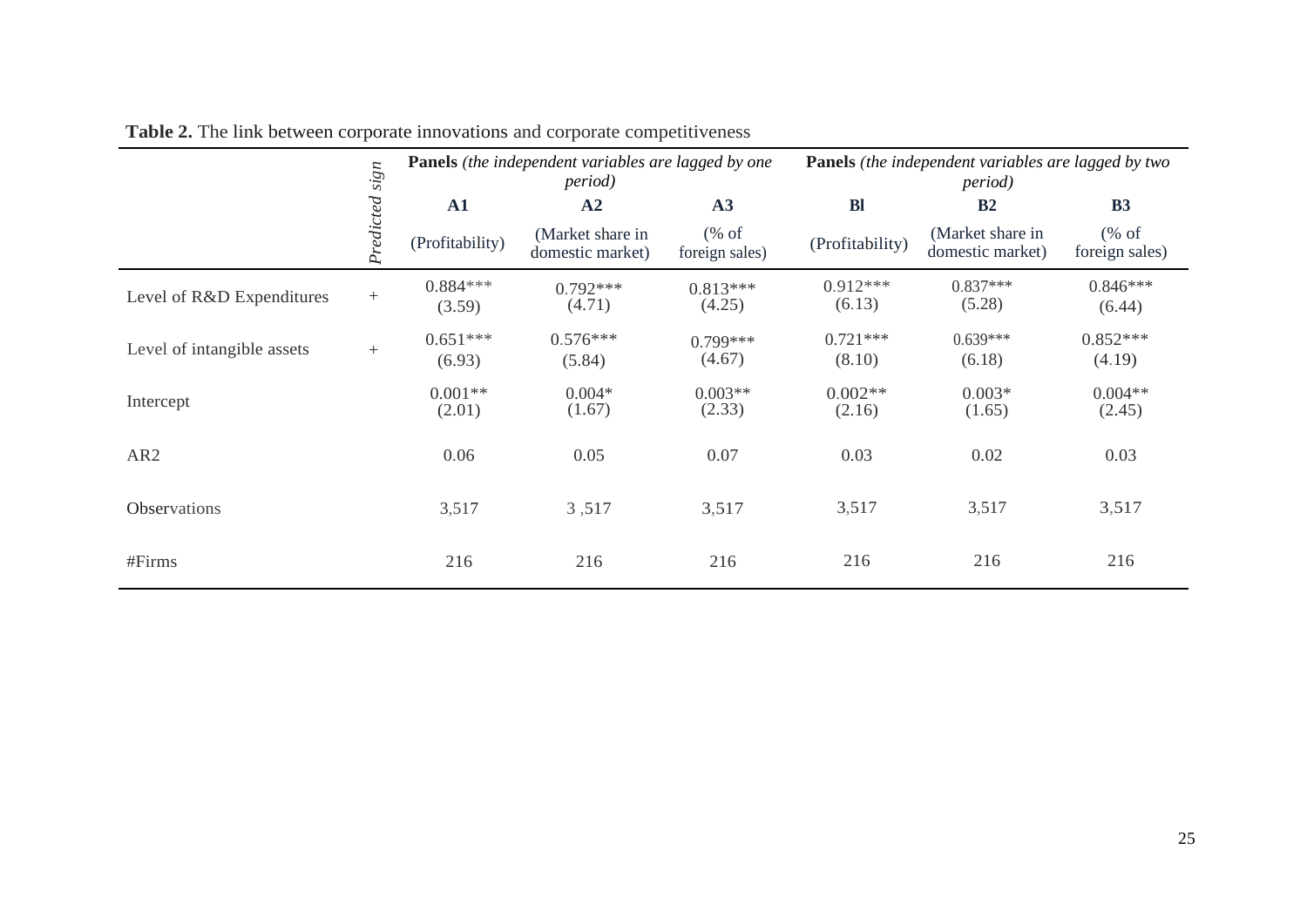|                            |                | <b>Panels</b> (the independent variables are lagged by one<br><i>period</i> ) |                                      |                                                    | <b>Panels</b> (the independent variables are lagged by two<br><i>period</i> ) |                                      |                        |
|----------------------------|----------------|-------------------------------------------------------------------------------|--------------------------------------|----------------------------------------------------|-------------------------------------------------------------------------------|--------------------------------------|------------------------|
|                            |                | A1                                                                            | A2                                   | A3                                                 | <b>Bl</b>                                                                     | B <sub>2</sub>                       | B <sub>3</sub>         |
|                            | Predicted sign | (Profitability)                                                               | (Market share in<br>domestic market) | $(% \mathcal{L}_{0}^{\infty}$ of<br>foreign sales) | (Profitability)                                                               | (Market share in<br>domestic market) | % of<br>foreign sales) |
| Level of R&D Expenditures  | $+$            | $0.884***$<br>(3.59)                                                          | $0.792***$<br>(4.71)                 | $0.813***$<br>(4.25)                               | $0.912***$<br>(6.13)                                                          | $0.837***$<br>(5.28)                 | $0.846***$<br>(6.44)   |
| Level of intangible assets | $+$            | $0.651***$<br>(6.93)                                                          | $0.576***$<br>(5.84)                 | $0.799***$<br>(4.67)                               | $0.721***$<br>(8.10)                                                          | $0.639***$<br>(6.18)                 | $0.852***$<br>(4.19)   |
| Intercept                  |                | $0.001**$<br>(2.01)                                                           | $0.004*$<br>(1.67)                   | $0.003**$<br>(2.33)                                | $0.002**$<br>(2.16)                                                           | $0.003*$<br>(1.65)                   | $0.004**$<br>(2.45)    |
| AR <sub>2</sub>            |                | 0.06                                                                          | 0.05                                 | 0.07                                               | 0.03                                                                          | 0.02                                 | 0.03                   |
| <b>Observations</b>        |                | 3,517                                                                         | 3,517                                | 3,517                                              | 3,517                                                                         | 3,517                                | 3,517                  |
| #Firms                     |                | 216                                                                           | 216                                  | 216                                                | 216                                                                           | 216                                  | 216                    |

**Table 2.** The link between corporate innovations and corporate competitiveness